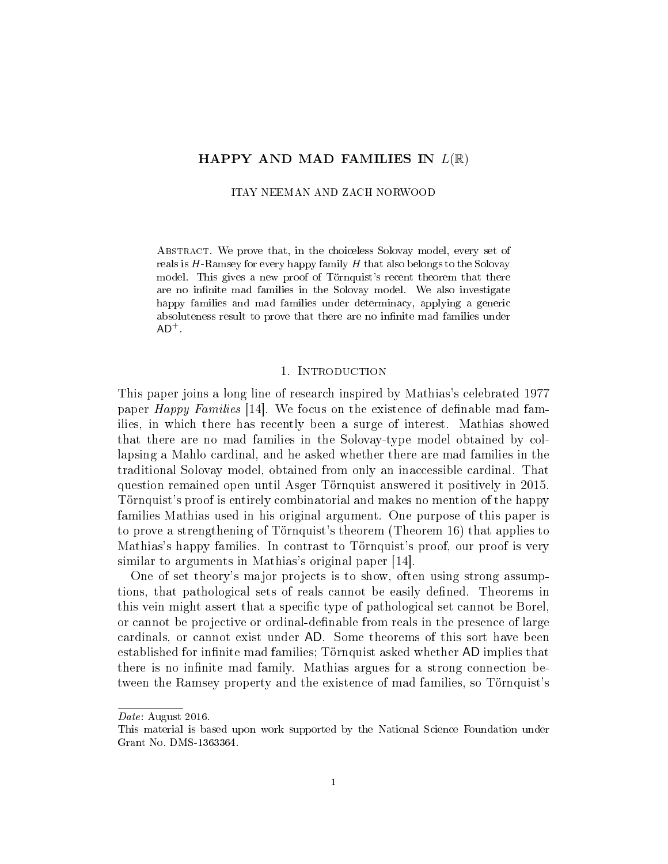# HAPPY AND MAD FAMILIES IN  $L(\mathbb{R})$

ITAY NEEMAN AND ZACH NORWOOD

Abstract. We prove that, in the choiceless Solovay model, every set of reals is  $H$ -Ramsey for every happy family  $H$  that also belongs to the Solovay model. This gives a new proof of Törnquist's recent theorem that there are no infinite mad families in the Solovay model. We also investigate happy families and mad families under determinacy, applying a generic absoluteness result to prove that there are no infinite mad families under  $AD^+$ .

## 1. INTRODUCTION

This paper joins a long line of research inspired by Mathias's celebrated 1977 paper  $Happy$  Families [14]. We focus on the existence of definable mad families, in which there has recently been a surge of interest. Mathias showed that there are no mad families in the Solovay-type model obtained by collapsing a Mahlo cardinal, and he asked whether there are mad families in the traditional Solovay model, obtained from only an inaccessible cardinal. That question remained open until Asger Törnquist answered it positively in 2015. Törnquist's proof is entirely combinatorial and makes no mention of the happy families Mathias used in his original argument. One purpose of this paper is to prove a strengthening of Törnquist's theorem (Theorem 16) that applies to Mathias's happy families. In contrast to Törnquist's proof, our proof is very similar to arguments in Mathias's original paper [14].

One of set theory's major projects is to show, often using strong assumptions, that pathological sets of reals cannot be easily defined. Theorems in this vein might assert that a specific type of pathological set cannot be Borel, or cannot be projective or ordinal-definable from reals in the presence of large cardinals, or cannot exist under AD. Some theorems of this sort have been established for infinite mad families; Törnquist asked whether AD implies that there is no infinite mad family. Mathias argues for a strong connection between the Ramsey property and the existence of mad families, so Törnquist's

Date: August 2016.

This material is based upon work supported by the National Science Foundation under Grant No. DMS-1363364.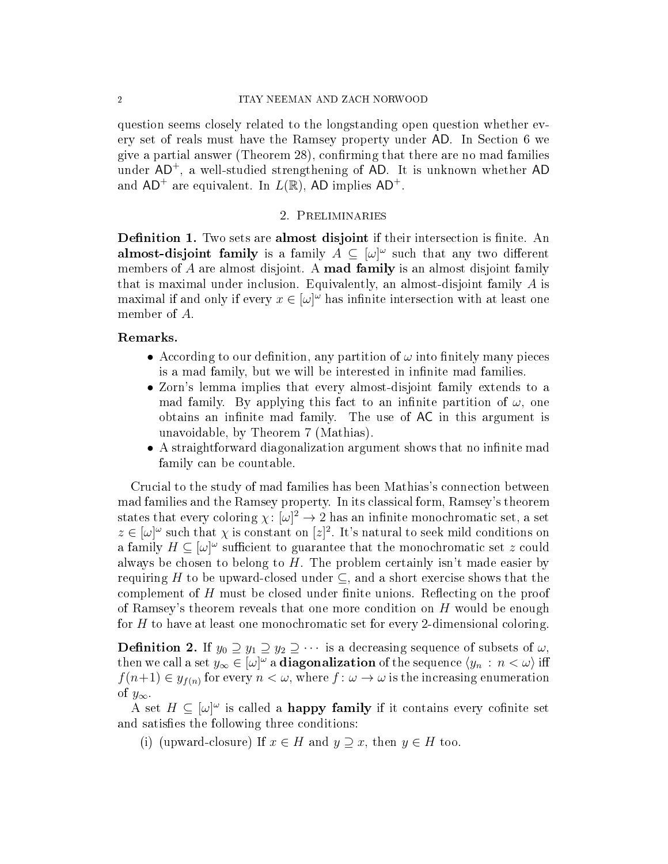question seems closely related to the longstanding open question whether every set of reals must have the Ramsey property under AD. In Section 6 we give a partial answer (Theorem 28), confirming that there are no mad families under AD<sup>+</sup>, a well-studied strengthening of AD. It is unknown whether AD and  $AD^+$  are equivalent. In  $L(\mathbb{R})$ , AD implies  $AD^+$ .

# 2. Preliminaries

**Definition 1.** Two sets are **almost disjoint** if their intersection is finite. An almost-disjoint family is a family  $A \subseteq [\omega]^\omega$  such that any two different members of  $A$  are almost disjoint. A **mad family** is an almost disjoint family that is maximal under inclusion. Equivalently, an almost-disjoint family  $A$  is maximal if and only if every  $x \in [\omega]^\omega$  has infinite intersection with at least one member of A.

#### Remarks.

- According to our definition, any partition of  $\omega$  into finitely many pieces is a mad family, but we will be interested in infinite mad families.
- Zorn's lemma implies that every almost-disjoint family extends to a mad family. By applying this fact to an infinite partition of  $\omega$ , one obtains an infinite mad family. The use of AC in this argument is unavoidable, by Theorem 7 (Mathias).
- A straightforward diagonalization argument shows that no infinite mad family can be countable.

Crucial to the study of mad families has been Mathias's connection between mad families and the Ramsey property. In its classical form, Ramsey's theorem states that every coloring  $\chi: [\omega]^2 \to 2$  has an infinite monochromatic set, a set  $z \in [\omega]^\omega$  such that  $\chi$  is constant on  $[z]^2$ . It's natural to seek mild conditions on a family  $H \subseteq [\omega]^\omega$  sufficient to guarantee that the monochromatic set z could always be chosen to belong to  $H$ . The problem certainly isn't made easier by requiring H to be upward-closed under  $\subseteq$ , and a short exercise shows that the complement of  $H$  must be closed under finite unions. Reflecting on the proof of Ramsey's theorem reveals that one more condition on  $H$  would be enough for  $H$  to have at least one monochromatic set for every 2-dimensional coloring.

**Definition 2.** If  $y_0 \supseteq y_1 \supseteq y_2 \supseteq \cdots$  is a decreasing sequence of subsets of  $\omega$ , then we call a set  $y_\infty \in [\omega]^\omega$  a **diagonalization** of the sequence  $\langle y_n : n < \omega \rangle$  iff  $f(n+1) \in y_{f(n)}$  for every  $n < \omega$ , where  $f: \omega \to \omega$  is the increasing enumeration of  $y_{\infty}$ .

A set  $H \subseteq [\omega]^\omega$  is called a **happy family** if it contains every cofinite set and satisfies the following three conditions:

(i) (upward-closure) If  $x \in H$  and  $y \supseteq x$ , then  $y \in H$  too.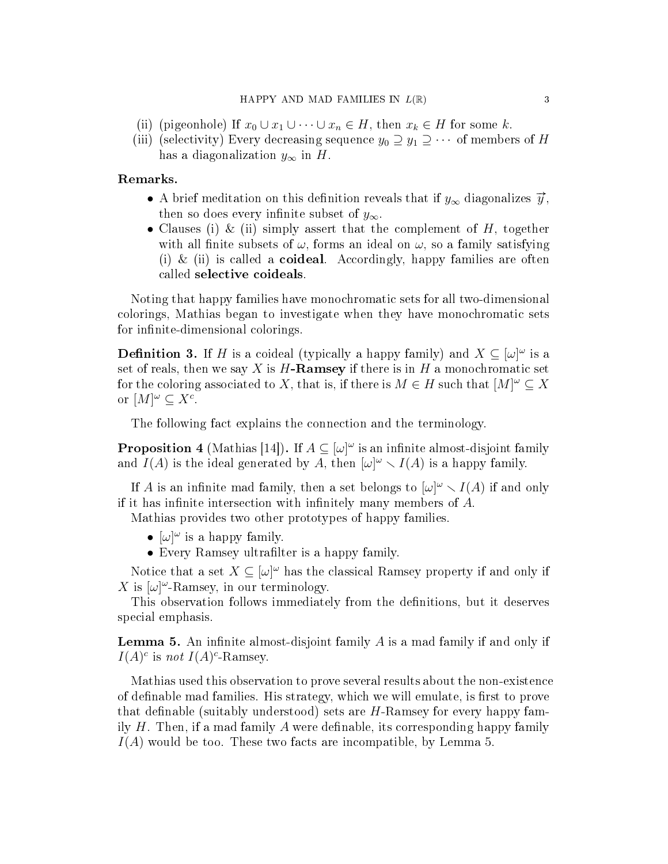- (ii) (pigeonhole) If  $x_0 \cup x_1 \cup \cdots \cup x_n \in H$ , then  $x_k \in H$  for some k.
- (iii) (selectivity) Every decreasing sequence  $y_0 \supseteq y_1 \supseteq \cdots$  of members of H has a diagonalization  $y_{\infty}$  in H.

# Remarks.

- A brief meditation on this definition reveals that if  $y_{\infty}$  diagonalizes  $\vec{y}$ , then so does every infinite subset of  $y_{\infty}$ .
- Clauses (i) & (ii) simply assert that the complement of  $H$ , together with all finite subsets of  $\omega$ , forms an ideal on  $\omega$ , so a family satisfying (i)  $\&$  (ii) is called a **coideal**. Accordingly, happy families are often called selective coideals.

Noting that happy families have monochromatic sets for all two-dimensional colorings, Mathias began to investigate when they have monochromatic sets for infinite-dimensional colorings.

**Definition 3.** If H is a coideal (typically a happy family) and  $X \subseteq [\omega]^{\omega}$  is a set of reals, then we say X is  $H$ -Ramsey if there is in H a monochromatic set for the coloring associated to X, that is, if there is  $M \in H$  such that  $[M]^{\omega} \subseteq X$ or  $[M]^{\omega} \subseteq X^c$ .

The following fact explains the connection and the terminology.

**Proposition 4** (Mathias [14]). If  $A \subseteq [\omega]^\omega$  is an infinite almost-disjoint family and  $I(A)$  is the ideal generated by A, then  $[\omega]^\omega \setminus I(A)$  is a happy family.

If A is an infinite mad family, then a set belongs to  $[\omega]^\omega \setminus I(A)$  if and only if it has infinite intersection with infinitely many members of  $A$ .

Mathias provides two other prototypes of happy families.

- $[\omega]^\omega$  is a happy family.
- Every Ramsey ultrafilter is a happy family.

Notice that a set  $X \subseteq [\omega]^\omega$  has the classical Ramsey property if and only if X is  $[\omega]^\omega$ -Ramsey, in our terminology.

This observation follows immediately from the definitions, but it deserves special emphasis.

**Lemma 5.** An infinite almost-disjoint family  $A$  is a mad family if and only if  $I(A)^c$  is not  $I(A)^c$ -Ramsey.

Mathias used this observation to prove several results about the non-existence of definable mad families. His strategy, which we will emulate, is first to prove that definable (suitably understood) sets are  $H$ -Ramsey for every happy family  $H$ . Then, if a mad family  $A$  were definable, its corresponding happy family  $I(A)$  would be too. These two facts are incompatible, by Lemma 5.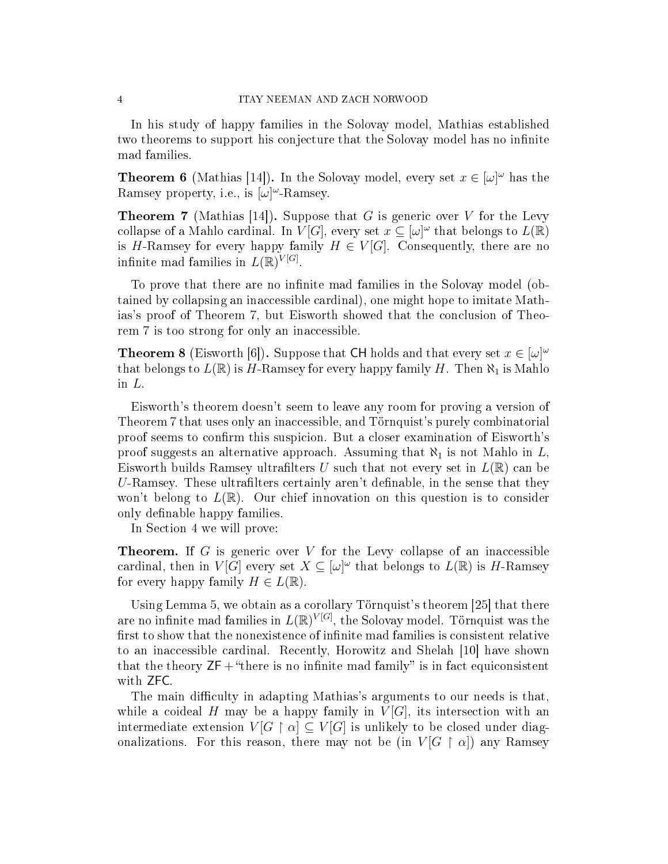In his study of happy families in the Solovay model, Mathias established two theorems to support his conjecture that the Solovay model has no infinite mad families.

**Theorem 6** (Mathias [14]). In the Solovay model, every set  $x \in [\omega]^\omega$  has the Ramsey property, i.e., is  $[\omega]^\omega$ -Ramsey.

**Theorem 7** (Mathias [14]). Suppose that G is generic over V for the Levy collapse of a Mahlo cardinal. In  $V[G]$ , every set  $x \subseteq [\omega]^\omega$  that belongs to  $L(\mathbb{R})$ is H-Ramsey for every happy family  $H \in V[G]$ . Consequently, there are no infinite mad families in  $L(\mathbb{R})^{V[G]}$ .

To prove that there are no infinite mad families in the Solovay model (obtained by collapsing an inaccessible cardinal), one might hope to imitate Mathias's proof of Theorem 7, but Eisworth showed that the conclusion of Theorem 7 is too strong for only an inaccessible.

**Theorem 8** (Eisworth [6]). Suppose that CH holds and that every set  $x \in [\omega]^\omega$ that belongs to  $L(\mathbb{R})$  is H-Ramsey for every happy family H. Then  $\aleph_1$  is Mahlo in L.

Eisworth's theorem doesn't seem to leave any room for proving a version of Theorem 7 that uses only an inaccessible, and Törnquist's purely combinatorial proof seems to confirm this suspicion. But a closer examination of Eisworth's proof suggests an alternative approach. Assuming that  $\aleph_1$  is not Mahlo in L, Eisworth builds Ramsey ultrafilters U such that not every set in  $L(\mathbb{R})$  can be U-Ramsey. These ultrafilters certainly aren't definable, in the sense that they won't belong to  $L(\mathbb{R})$ . Our chief innovation on this question is to consider only definable happy families.

In Section 4 we will prove:

**Theorem.** If G is generic over V for the Levy collapse of an inaccessible cardinal, then in  $V[G]$  every set  $X \subseteq [\omega]^\omega$  that belongs to  $L(\mathbb{R})$  is H-Ramsey for every happy family  $H \in L(\mathbb{R})$ .

Using Lemma 5, we obtain as a corollary Törnquist's theorem [25] that there are no infinite mad families in  $L(\mathbb{R})^{V[G]}$ , the Solovay model. Törnquist was the first to show that the nonexistence of infinite mad families is consistent relative to an inaccessible cardinal. Recently, Horowitz and Shelah [10] have shown that the theory  $ZF + "there$  is no infinite mad family" is in fact equiconsistent with ZFC.

The main difficulty in adapting Mathias's arguments to our needs is that, while a coideal H may be a happy family in  $V[G]$ , its intersection with an intermediate extension  $V[G \restriction \alpha] \subseteq V[G]$  is unlikely to be closed under diagonalizations. For this reason, there may not be (in  $V[G \restriction \alpha]$ ) any Ramsey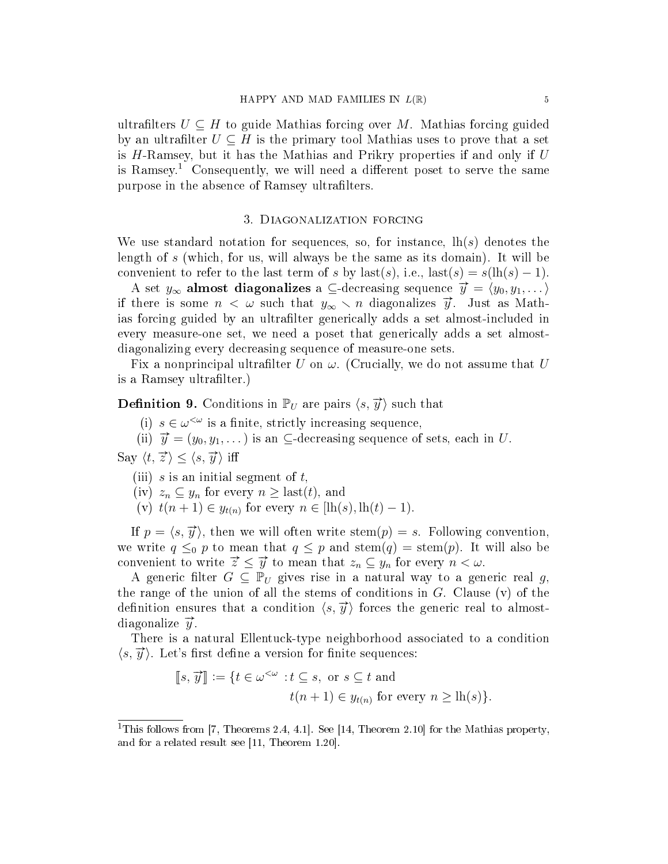ultrafilters  $U \subseteq H$  to guide Mathias forcing over M. Mathias forcing guided by an ultrafilter  $U \subseteq H$  is the primary tool Mathias uses to prove that a set is H-Ramsey, but it has the Mathias and Prikry properties if and only if U is Ramsey.<sup>1</sup> Consequently, we will need a different poset to serve the same purpose in the absence of Ramsey ultrafilters.

#### 3. Diagonalization forcing

We use standard notation for sequences, so, for instance,  $\ln(s)$  denotes the length of s (which, for us, will always be the same as its domain). It will be convenient to refer to the last term of s by last(s), i.e., last(s) = s(lh(s) – 1).

A set  $y_{\infty}$  almost diagonalizes a ⊆-decreasing sequence  $\vec{y} = \langle y_0, y_1, \dots \rangle$ if there is some  $n < \omega$  such that  $y_{\infty} \setminus n$  diagonalizes  $\vec{y}$ . Just as Mathias forcing guided by an ultrafilter generically adds a set almost-included in every measure-one set, we need a poset that generically adds a set almostdiagonalizing every decreasing sequence of measure-one sets.

Fix a nonprincipal ultrafilter U on  $\omega$ . (Crucially, we do not assume that U is a Ramsey ultrafilter.)

**Definition 9.** Conditions in  $\mathbb{P}_U$  are pairs  $\langle s, \vec{y} \rangle$  such that

(i)  $s \in \omega^{\leq \omega}$  is a finite, strictly increasing sequence,

(ii)  $\vec{y} = (y_0, y_1, \dots)$  is an  $\subseteq$ -decreasing sequence of sets, each in U.

Say  $\langle t, \vec{z} \rangle < \langle s, \vec{y} \rangle$  iff

- (iii) s is an initial segment of  $t$ ,
- (iv)  $z_n \subseteq y_n$  for every  $n \geq \text{last}(t)$ , and
- (v)  $t(n + 1) \in y_{t(n)}$  for every  $n \in [\text{lh}(s), \text{lh}(t) 1)$ .

If  $p = \langle s, \overrightarrow{y} \rangle$ , then we will often write stem $(p) = s$ . Following convention, we write  $q \leq_0 p$  to mean that  $q \leq p$  and stem $(q) = \operatorname{stem}(p)$ . It will also be we write  $q \leq 0$  *P* to mean that  $q \leq p$  and stem $(q)$  = stem $(p)$ . It convenient to write  $\vec{z} \leq \vec{y}$  to mean that  $z_n \subseteq y_n$  for every  $n < \omega$ .

A generic filter  $G \subseteq \mathbb{P}_U$  gives rise in a natural way to a generic real g, the range of the union of all the stems of conditions in  $G$ . Clause  $(v)$  of the definition ensures that a condition  $\langle s, \overrightarrow{y} \rangle$  forces the generic real to almostdiagonalize  $\vec{y}$ .

There is a natural Ellentuck-type neighborhood associated to a condition  $\langle s, \overrightarrow{y} \rangle$ . Let's first define a version for finite sequences:

$$
\llbracket s, \overrightarrow{y} \rrbracket := \{ t \in \omega^{< \omega} : t \subseteq s, \text{ or } s \subseteq t \text{ and}
$$
  

$$
t(n+1) \in y_{t(n)} \text{ for every } n \ge \text{lh}(s) \}.
$$

<sup>&</sup>lt;sup>1</sup>This follows from [7, Theorems 2.4, 4.1]. See [14, Theorem 2.10] for the Mathias property, and for a related result see [11, Theorem 1.20].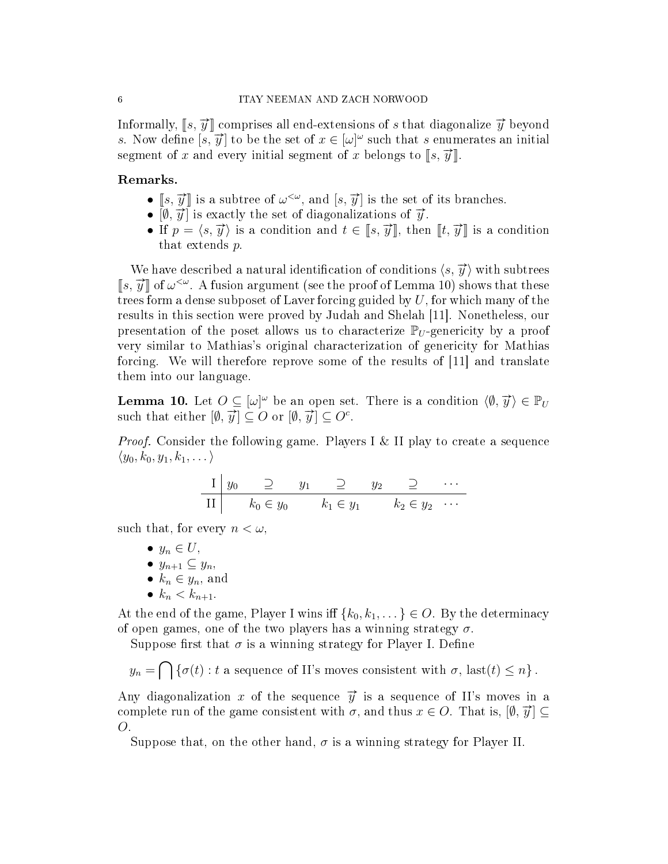Informally,  $[s, \overrightarrow{y}]$  comprises all end-extensions of s that diagonalize  $\overrightarrow{y}$  beyond s. Now define  $[s, \overrightarrow{y}]$  to be the set of  $x \in [\omega]^\omega$  such that s enumerates an initial segment of x and every initial segment of x belongs to  $[s, \vec{y}]$ 

# Remarks.

- $[s, \overrightarrow{y}]$  is a subtree of  $\omega^{<\omega}$ , and  $[s, \overrightarrow{y}]$  is the set of its branches.
- $\begin{bmatrix} 5, y \end{bmatrix}$  is a subtree of  $\omega$ , and  $\begin{bmatrix} 5, y \end{bmatrix}$  is the set of  $\begin{bmatrix} \emptyset, \overrightarrow{y} \end{bmatrix}$  is exactly the set of diagonalizations of  $\overrightarrow{y}$ .
- If  $p = \langle s, \overrightarrow{y} \rangle$  is a condition and  $t \in \llbracket s, \overrightarrow{y} \rrbracket$ , then  $\llbracket t, \overrightarrow{y} \rrbracket$  is a condition that extends p.

We have described a natural identification of conditions  $\langle s, \overrightarrow{y} \rangle$  with subtrees We have described a hattial dentification of conditions  $\langle s, y \rangle$  with subtrees  $[s, \overline{y}]$  of  $\omega^{\langle \omega \rangle}$ . A fusion argument (see the proof of Lemma 10) shows that these trees form a dense subposet of Laver forcing guided by  $U$ , for which many of the results in this section were proved by Judah and Shelah [11]. Nonetheless, our presentation of the poset allows us to characterize  $\mathbb{P}_U$ -genericity by a proof very similar to Mathias's original characterization of genericity for Mathias forcing. We will therefore reprove some of the results of [11] and translate them into our language.

**Lemma 10.** Let  $O \subseteq [\omega]^\omega$  be an open set. There is a condition  $\langle \emptyset, \overrightarrow{y} \rangle \in \mathbb{P}_U$ **Definition 10:** Let  $\mathcal{O} \subseteq [\omega]$  be an open set<br>such that either  $[\emptyset, \vec{y}] \subseteq O$  or  $[\emptyset, \vec{y}] \subseteq O^c$ .

*Proof.* Consider the following game. Players I & II play to create a sequence  $\langle y_0, k_0, y_1, k_1, \dots \rangle$ 

$$
\begin{array}{c|cccc}\nI & y_0 & \supseteq & y_1 & \supseteq & y_2 & \supseteq & \cdots \\
\hline\nII & k_0 \in y_0 & k_1 \in y_1 & k_2 \in y_2 & \cdots\n\end{array}
$$

such that, for every  $n < \omega$ ,

- $y_n \in U$ ,
- $y_{n+1} \subseteq y_n$
- $k_n \in y_n$ , and
- $k_n < k_{n+1}$ .

At the end of the game, Player I wins iff  $\{k_0, k_1, \dots\} \in O$ . By the determinacy of open games, one of the two players has a winning strategy  $\sigma$ .

Suppose first that  $\sigma$  is a winning strategy for Player I. Define

 $y_n = \bigcap \{\sigma(t) : t \text{ a sequence of II's moves consistent with } \sigma, \text{ last}(t) \leq n\}.$ 

Any diagonalization x of the sequence  $\vec{y}$  is a sequence of II's moves in a complete run of the game consistent with  $\sigma$ , and thus  $x \in O$ . That is,  $[\emptyset, \overrightarrow{y}] \subseteq$ O.

Suppose that, on the other hand,  $\sigma$  is a winning strategy for Player II.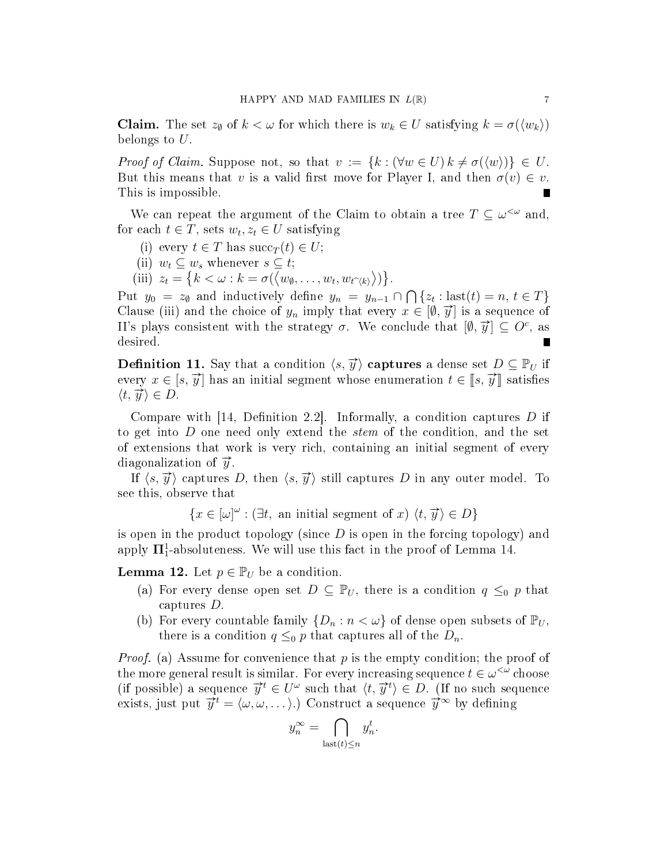**Claim.** The set  $z_{\emptyset}$  of  $k < \omega$  for which there is  $w_k \in U$  satisfying  $k = \sigma(\langle w_k \rangle)$ belongs to U.

Proof of Claim. Suppose not, so that  $v := \{k : (\forall w \in U) \, k \neq \sigma(\langle w \rangle) \} \in U$ . But this means that v is a valid first move for Player I, and then  $\sigma(v) \in v$ . This is impossible.

We can repeat the argument of the Claim to obtain a tree  $T \subseteq \omega^{\leq \omega}$  and, for each  $t \in T$ , sets  $w_t, z_t \in U$  satisfying

- (i) every  $t \in T$  has  $succ_T(t) \in U$ ;
- (ii)  $w_t \subseteq w_s$  whenever  $s \subseteq t$ ;
- (iii)  $z_t = \{k < \omega : k = \sigma(\langle w_\emptyset, \ldots, w_t, w_{t\hat{\zeta}} \rangle)\}.$

Put  $y_0 = z_0$  and inductively define  $y_n = y_{n-1} \cap \bigcap \{z_t : \text{last}(t) = n, t \in T\}$ Clause (iii) and the choice of  $y_n$  imply that every  $x \in [\emptyset, \overrightarrow{y}]$  is a sequence of II's plays consistent with the strategy  $\sigma$ . We conclude that  $[\emptyset, \vec{y}] \subseteq O^c$ , as desired.

**Definition 11.** Say that a condition  $\langle s, \overrightarrow{y} \rangle$  captures a dense set  $D \subseteq \mathbb{P}_U$  if every  $x \in [s, \overrightarrow{y}]$  has an initial segment whose enumeration  $t \in [s, \overrightarrow{y}]$  satisfies  $\langle t, \overrightarrow{y} \rangle \in D.$ 

Compare with  $[14,$  Definition 2.2. Informally, a condition captures D if to get into D one need only extend the stem of the condition, and the set of extensions that work is very rich, containing an initial segment of every diagonalization of  $\vec{y}$ .

If  $\langle s, \overrightarrow{y} \rangle$  captures D, then  $\langle s, \overrightarrow{y} \rangle$  still captures D in any outer model. To see this, observe that

 ${x \in [\omega]^\omega : \exists t, \text{ an initial segment of } x \rangle \langle t, \overrightarrow{y} \rangle \in D}$ 

is open in the product topology (since  $D$  is open in the forcing topology) and apply  $\mathbf{\Pi}^1_1$ -absoluteness. We will use this fact in the proof of Lemma 14.

**Lemma 12.** Let  $p \in \mathbb{P}_U$  be a condition.

- (a) For every dense open set  $D \subseteq \mathbb{P}_U$ , there is a condition  $q \leq_0 p$  that captures D.
- (b) For every countable family  $\{D_n : n < \omega\}$  of dense open subsets of  $\mathbb{P}_U$ , there is a condition  $q \leq_0 p$  that captures all of the  $D_n$ .

*Proof.* (a) Assume for convenience that  $p$  is the empty condition; the proof of the more general result is similar. For every increasing sequence  $t \in \omega^{\lt \omega}$  choose (if possible) a sequence  $\vec{y}^t \in U^\omega$  such that  $\langle t, \vec{y}^t \rangle \in D$ . (If no such sequence exists, just put  $\vec{y}^t = \langle \omega, \omega, \ldots \rangle$ .) Construct a sequence  $\vec{y}^{\infty}$  by defining

$$
y_n^{\infty} = \bigcap_{\text{last}(t) \le n} y_n^t.
$$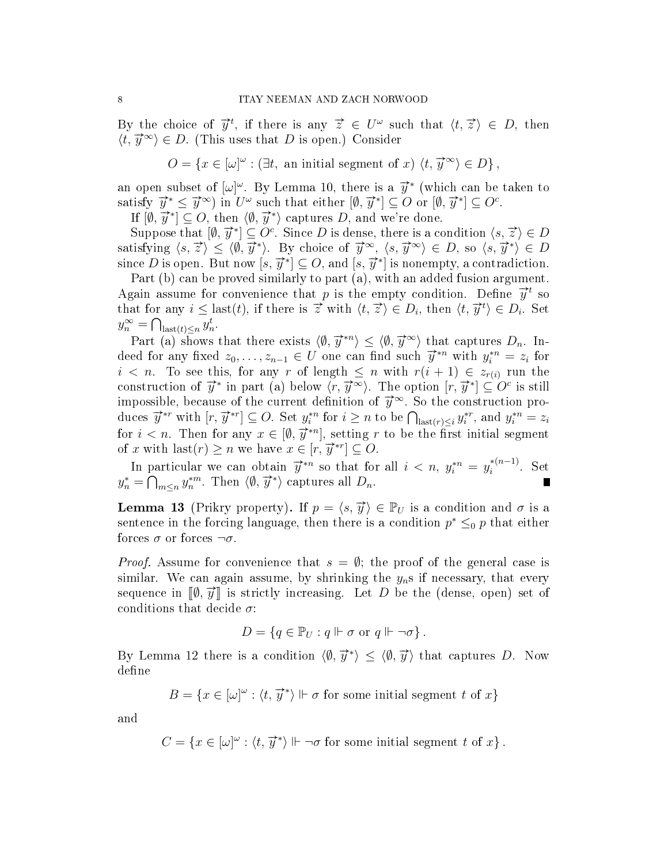By the choice of  $\vec{y}^t$ , if there is any  $\vec{z} \in U^\omega$  such that  $\langle t, \vec{z} \rangle \in D$ , then  $\langle t, \overrightarrow{y}^{\infty} \rangle \in D$ . (This uses that D is open.) Consider

 $O = \{x \in [\omega]^\omega : (\exists t, \text{ an initial segment of } x) \langle t, \overrightarrow{y}^\infty \rangle \in D\},\$ 

an open subset of  $[\omega]^\omega$ . By Lemma 10, there is a  $\vec{y}^*$  (which can be taken to satisfy  $\vec{y}^* \leq \vec{y}^{\infty}$  in  $U^{\omega}$  such that either  $[\emptyset, \vec{y}^*] \subseteq O$  or  $[\emptyset, \vec{y}^*] \subseteq O^c$ .

If  $[\emptyset, \overline{y}] \leq y$  fin c such that either  $[\emptyset, y] \leq C$  or  $[\emptyset, \overline{y}] \leq C$ , then  $\langle \emptyset, \overline{y^*} \rangle$  captures D, and we're done.

 $\sup_{\mathcal{S}} [w, y] \subseteq \mathcal{S}$ , then  $\setminus \emptyset$ ,  $y'$  applies  $D$ , and we reduce.<br>Suppose that  $[\emptyset, \overrightarrow{y}] \subseteq O^c$ . Since D is dense, there is a condition  $\langle s, \overrightarrow{z} \rangle \in D$ satisfying  $\langle s, \overline{z} \rangle \leq \langle \emptyset, \overline{y}^* \rangle$ . By choice of  $\overline{y}^{\infty}$ ,  $\langle s, \overline{y}^{\infty} \rangle \in D$ , so  $\langle s, \overline{y}^* \rangle \in D$ satisfying  $\{s, z \in \mathbb{N}, y \in B\}$  choice of  $y \in \mathbb{N}, \{s, y \in B\}$ , so  $\{s, y \in B\}$ <br>since D is open. But now  $[s, \overrightarrow{y}^*] \subseteq O$ , and  $[s, \overrightarrow{y}^*]$  is nonempty, a contradiction.

Part (b) can be proved similarly to part (a), with an added fusion argument. Fart (b) can be proved similarly to part (a), with an added rusion argument.<br>Again assume for convenience that p is the empty condition. Define  $\vec{y}^t$  so that for any  $i \leq$  last(*t*), if there is  $\overrightarrow{z}$  with  $\langle t, \overrightarrow{z} \rangle \in D_i$ , then  $\langle t, \overrightarrow{y}^t \rangle \in D_i$ . Set  $y_n^{\infty} = \bigcap_{\text{last}(t) \leq n} y_n^t.$ 

Part (a) shows that there exists  $\langle \emptyset, \overrightarrow{y}^{*n} \rangle \le \langle \emptyset, \overrightarrow{y}^{\infty} \rangle$  that captures  $D_n$ . Indeed for any fixed  $z_0, \ldots, z_{n-1} \in U$  one can find such  $\overrightarrow{y}^{n}$  with  $y_i^{n} = z_i$  for  $i < n$ . To see this, for any r of length  $\leq n$  with  $r(i + 1) \in z_{r(i)}$  run the  $i \leq n$ . To see this, for any  $i$  or length  $\leq n$  with  $r(i+1) \leq z_{r(i)}$  run the construction of  $\vec{y}^*$  in part (a) below  $\langle r, \vec{y}^* \rangle$ . The option  $[r, \vec{y}^*] \subseteq O^c$  is still impossible, because of the current definition of  $\vec{y}^{\infty}$ . So the construction produces  $\vec{y}^{*r}$  with  $[r, \vec{y}^{*r}] \subseteq O$ . Set  $y_i^{*n}$  for  $i \geq n$  to be  $\bigcap_{\text{last}(r) \leq i} y_i^{*r}$ , and  $y_i^{*n} = z_i$ for  $i < n$ . Then for any  $x \in [\emptyset, \overrightarrow{y}^{*n}]$ , setting r to be the first initial segment of x with  $\text{last}(r) \geq n$  we have  $x \in [r, \vec{y}^{*r}] \subseteq O$ .

In particular we can obtain  $\vec{y}^{*n}$  so that for all  $i < n$ ,  $y_i^{*n} = y_i^{*(n-1)}$  $i^{*(n-1)}$ . Set in particular we can obtain y so that i.e.<br>  $y_n^* = \bigcap_{m \leq n} y_n^{*m}$ . Then  $\langle \emptyset, \overrightarrow{y}^* \rangle$  captures all  $D_n$ .

**Lemma 13** (Prikry property). If  $p = \langle s, \vec{y} \rangle \in \mathbb{P}_U$  is a condition and  $\sigma$  is a sentence in the forcing language, then there is a condition  $p^* \leq_0 p$  that either forces  $\sigma$  or forces  $\neg \sigma$ .

*Proof.* Assume for convenience that  $s = \emptyset$ ; the proof of the general case is similar. We can again assume, by shrinking the  $y_n$ s if necessary, that every similar. We can again assume, by similaring the  $y_n$ s in hecessary, that every<br>sequence in  $[\![\emptyset, \vec{y}]\!]$  is strictly increasing. Let D be the (dense, open) set of conditions that decide  $\sigma$ :

$$
D = \{ q \in \mathbb{P}_U : q \Vdash \sigma \text{ or } q \Vdash \neg \sigma \}.
$$

By Lemma 12 there is a condition  $\langle \emptyset, \overrightarrow{y}^* \rangle \le \langle \emptyset, \overrightarrow{y} \rangle$  that captures D. Now define

$$
B = \{x \in [\omega]^\omega : \langle t, \overrightarrow{y}^* \rangle \Vdash \sigma \text{ for some initial segment } t \text{ of } x\}
$$

and

$$
C = \{ x \in [\omega]^\omega : \langle t, \overrightarrow{y}^* \rangle \Vdash \neg \sigma \text{ for some initial segment } t \text{ of } x \}.
$$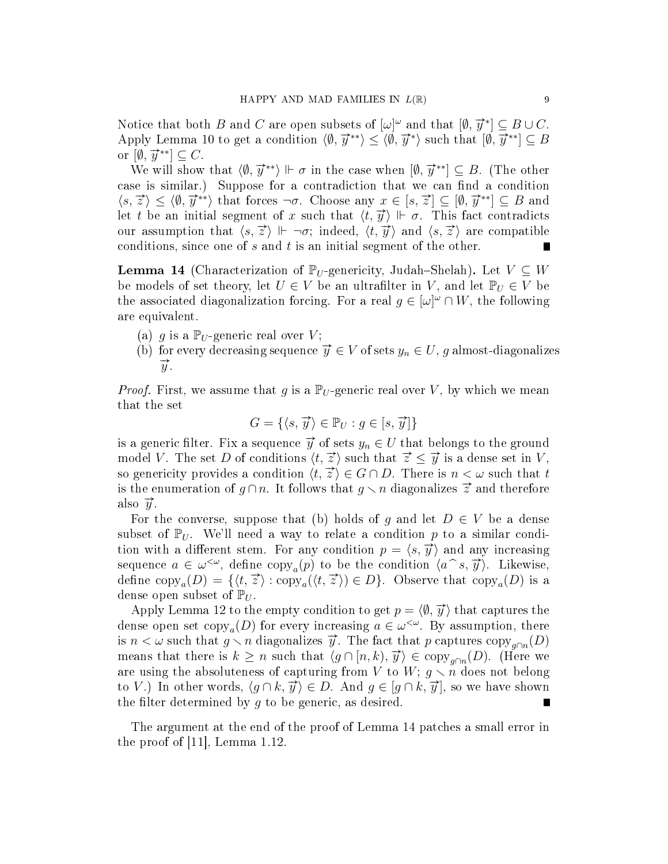Notice that both  $B$  and  $C$  are open subsets of  $[\omega]^\omega$  and that  $[\emptyset, \overrightarrow{y}^*] \subseteq B \cup C$ . Apply Lemma 10 to get a condition  $\langle \emptyset, \overline{y}^{**} \rangle \le \langle \emptyset, \overline{y}^{**} \rangle$  such that  $[\emptyset, \overline{y}^{**}] \subseteq B$  $\alpha$  ( $\emptyset$ ,  $\overrightarrow{y}^{**}$ )  $\subseteq$  C.

<sup>[*v*</sup>, *y* ]  $\subseteq$  ○.<br>We will show that  $\langle \emptyset, \overrightarrow{y}^{**} \rangle \Vdash \sigma$  in the case when  $[\emptyset, \overrightarrow{y}^{**}] \subseteq B$ . (The other case is similar.) Suppose for a contradiction that we can find a condition  $\langle s, \vec{z} \rangle \le \langle \emptyset, \vec{y}^{**} \rangle$  that forces  $\neg \sigma$ . Choose any  $x \in [s, \vec{z}] \subseteq [\emptyset, \vec{y}^{**}] \subseteq B$  and let t be an initial segment of x such that  $\langle t, \vec{y} \rangle \Vdash \sigma$ . This fact contradicts our assumption that  $\langle s, \overrightarrow{z} \rangle \Vdash \neg \sigma$ ; indeed,  $\langle t, \overrightarrow{y} \rangle$  and  $\langle s, \overrightarrow{z} \rangle$  are compatible conditions, since one of  $s$  and  $t$  is an initial segment of the other.

**Lemma 14** (Characterization of  $\mathbb{P}_U$ -genericity, Judah–Shelah). Let  $V \subseteq W$ be models of set theory, let  $U \in V$  be an ultrafilter in V, and let  $\mathbb{P}_U \in V$  be the associated diagonalization forcing. For a real  $g \in [\omega]^\omega \cap W$ , the following are equivalent.

- (a) g is a  $\mathbb{P}_U$ -generic real over V;
- (b) for every decreasing sequence  $\overrightarrow{y} \in V$  of sets  $y_n \in U$ , g almost-diagonalizes  $\overline{y}$ .

*Proof.* First, we assume that g is a  $\mathbb{P}_U$ -generic real over V, by which we mean that the set

$$
G = \{ \langle s, \overrightarrow{y} \rangle \in \mathbb{P}_U : g \in [s, \overrightarrow{y}] \}
$$

is a generic filter. Fix a sequence  $\vec{y}$  of sets  $y_n \in U$  that belongs to the ground model V. The set D of conditions  $\langle t, \vec{z} \rangle$  such that  $\vec{z} \leq \vec{y}$  is a dense set in V, so genericity provides a condition  $\langle t, \overrightarrow{z} \rangle \in G \cap D$ . There is  $n < \omega$  such that t is the enumeration of  $q \cap n$ . It follows that  $q \setminus n$  diagonalizes  $\vec{z}$  and therefore also  $\vec{y}$ .

For the converse, suppose that (b) holds of g and let  $D \in V$  be a dense subset of  $\mathbb{P}_U$ . We'll need a way to relate a condition p to a similar condition with a different stem. For any condition  $p = \langle s, \overrightarrow{y} \rangle$  and any increasing sequence  $a \in \omega^{\leq \omega}$ , define copy<sub>a</sub> $(p)$  to be the condition  $\langle a^{\infty}, \overrightarrow{y} \rangle$ . Likewise,<br>define copy  $(D) = f(t, \overrightarrow{z})$ : copy  $(f, \overrightarrow{z}) \in D$ . Observe that copy  $(D)$  is a define  $\text{copy}_a(D) = \{ \langle t, \overline{z} \rangle : \text{copy}_a(\langle t, \overline{z} \rangle) \in D \}$ . Observe that  $\text{copy}_a(D)$  is a dense open subset of  $\mathbb{P}_U$ .

Apply Lemma 12 to the empty condition to get  $p = \langle \emptyset, \overrightarrow{y} \rangle$  that captures the dense open set  $\text{copy}_a(D)$  for every increasing  $a \in \omega^{\lt \omega}$ . By assumption, there is  $n < \omega$  such that  $g \setminus n$  diagonalizes  $\vec{y}$ . The fact that p captures copy<sub>g∩n</sub>(D) means that there is  $k \ge n$  such that  $\langle g \cap [n, k), \overrightarrow{y} \rangle \in \text{copy}_{g \cap n}(D)$ . (Here we are using the absoluteness of capturing from V to  $W; g \times n$  does not belong to V.) In other words,  $\langle g \cap k, \vec{y} \rangle \in D$ . And  $g \in [g \cap k, \vec{y}]$ , so we have shown the filter determined by  $g$  to be generic, as desired.

The argument at the end of the proof of Lemma 14 patches a small error in the proof of [11], Lemma 1.12.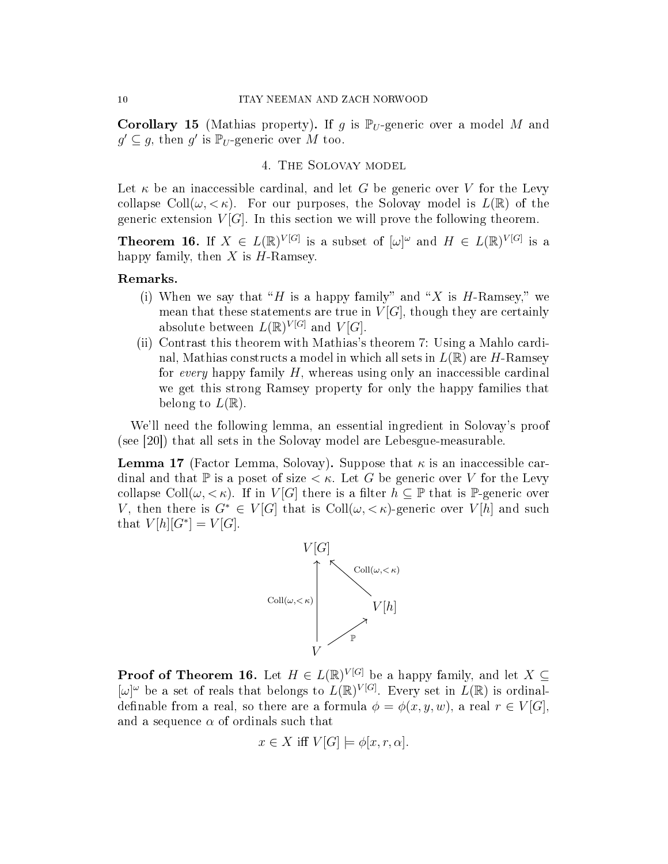**Corollary 15** (Mathias property). If g is  $\mathbb{P}_U$ -generic over a model M and  $g' \subseteq g$ , then  $g'$  is  $\mathbb{P}_U$ -generic over M too.

### 4. The Solovay model

Let  $\kappa$  be an inaccessible cardinal, and let G be generic over V for the Levy collapse Coll $(\omega, < \kappa)$ . For our purposes, the Solovay model is  $L(\mathbb{R})$  of the generic extension  $V[G]$ . In this section we will prove the following theorem.

**Theorem 16.** If  $X \in L(\mathbb{R})^{V[G]}$  is a subset of  $[\omega]^\omega$  and  $H \in L(\mathbb{R})^{V[G]}$  is a happy family, then  $X$  is  $H$ -Ramsey.

#### Remarks.

- (i) When we say that "H is a happy family" and "X is H-Ramsey," we mean that these statements are true in  $V[G]$ , though they are certainly absolute between  $L(\mathbb{R})^{V[G]}$  and  $V[G]$ .
- (ii) Contrast this theorem with Mathias's theorem 7: Using a Mahlo cardinal, Mathias constructs a model in which all sets in  $L(\mathbb{R})$  are H-Ramsey for every happy family  $H$ , whereas using only an inaccessible cardinal we get this strong Ramsey property for only the happy families that belong to  $L(\mathbb{R})$ .

We'll need the following lemma, an essential ingredient in Solovay's proof (see [20]) that all sets in the Solovay model are Lebesgue-measurable.

**Lemma 17** (Factor Lemma, Solovay). Suppose that  $\kappa$  is an inaccessible cardinal and that  $\mathbb P$  is a poset of size  $\lt \kappa$ . Let G be generic over V for the Levy collapse Coll $(\omega, <\kappa)$ . If in V[G] there is a filter  $h \subseteq \mathbb{P}$  that is P-generic over V, then there is  $G^* \in V[G]$  that is  $Coll(\omega, \langle \kappa \rangle)$ -generic over  $V[h]$  and such that  $V[h][G^*] = V[G].$ 



**Proof of Theorem 16.** Let  $H \in L(\mathbb{R})^{V[G]}$  be a happy family, and let  $X \subseteq$  $[\omega]^\omega$  be a set of reals that belongs to  $L(\mathbb{R})^{V[G]}$ . Every set in  $L(\mathbb{R})$  is ordinaldefinable from a real, so there are a formula  $\phi = \phi(x, y, w)$ , a real  $r \in V[G]$ , and a sequence  $\alpha$  of ordinals such that

$$
x \in X
$$
 iff  $V[G] \models \phi[x, r, \alpha]$ .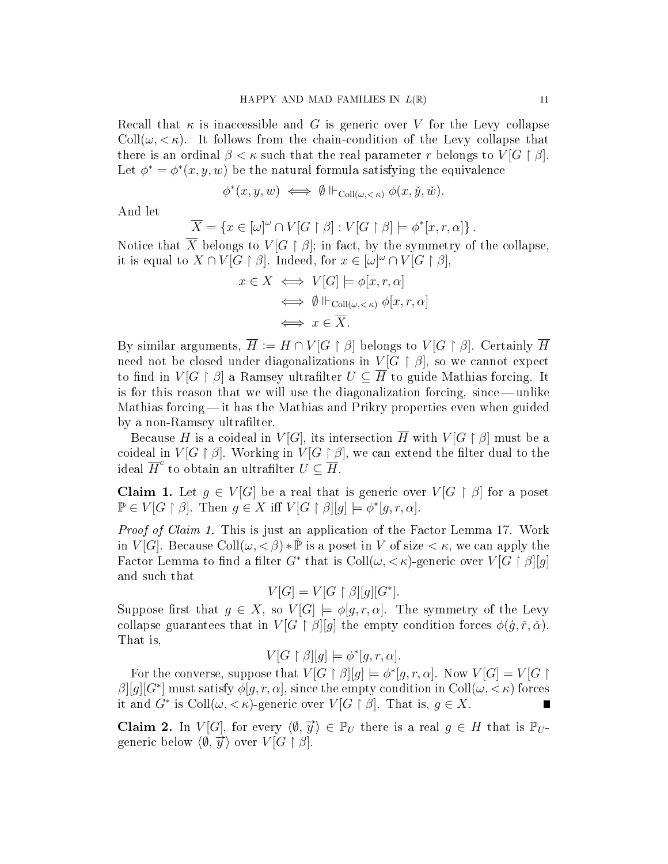Recall that  $\kappa$  is inaccessible and G is generic over V for the Levy collapse Coll $(\omega, \langle \kappa \rangle)$ . It follows from the chain-condition of the Levy collapse that there is an ordinal  $\beta < \kappa$  such that the real parameter r belongs to  $V[G \restriction \beta]$ . Let  $\phi^* = \phi^*(x, y, w)$  be the natural formula satisfying the equivalence

$$
\phi^*(x, y, w) \iff \emptyset \Vdash_{\mathrm{Coll}(\omega, < \kappa)} \phi(x, \check{y}, \check{w}).
$$

And let

$$
\overline{X} = \{x \in [\omega]^\omega \cap V[G\restriction \beta] : V[G\restriction \beta] \models \phi^*[x,r,\alpha] \}.
$$

Notice that  $\overline{X}$  belongs to  $V[G \restriction \beta]$ ; in fact, by the symmetry of the collapse, it is equal to  $X \cap V[G \restriction \beta]$ . Indeed, for  $x \in [\omega]^\omega \cap V[G \restriction \beta]$ ,

$$
x \in X \iff V[G] \models \phi[x, r, \alpha] \iff \emptyset \Vdash_{\text{Coll}(\omega, < \kappa)} \phi[x, r, \alpha] \iff x \in \overline{X}.
$$

By similar arguments,  $\overline{H} := H \cap V[G \restriction \beta]$  belongs to  $V[G \restriction \beta]$ . Certainly  $\overline{H}$ need not be closed under diagonalizations in  $V[G \restriction \beta]$ , so we cannot expect to find in  $V[G \restriction \beta]$  a Ramsey ultrafilter  $U \subseteq \overline{H}$  to guide Mathias forcing. It is for this reason that we will use the diagonalization forcing, since — unlike Mathias forcing—it has the Mathias and Prikry properties even when guided by a non-Ramsey ultrafilter.

Because H is a coideal in  $V[G]$ , its intersection  $\overline{H}$  with  $V[G \restriction \beta]$  must be a coideal in  $V[G \restriction \beta]$ . Working in  $V[G \restriction \beta]$ , we can extend the filter dual to the ideal  $\overline{H}^c$  to obtain an ultrafilter  $U \subseteq \overline{H}$ .

**Claim 1.** Let  $g \in V[G]$  be a real that is generic over  $V[G \restriction \beta]$  for a poset  $\mathbb{P} \in V[G \restriction \beta]$ . Then  $g \in X$  iff  $V[G \restriction \beta][g] \models \phi^*[g, r, \alpha]$ .

*Proof of Claim 1.* This is just an application of the Factor Lemma 17. Work in  $V[G]$ . Because Coll $(\omega, \langle \beta \rangle * \dot{P})$  is a poset in V of size  $\langle \kappa, w \rangle$  can apply the Factor Lemma to find a filter  $G^*$  that is  $\text{Coll}(\omega, <\kappa)$ -generic over  $V[G \restriction \beta][g]$ and such that

$$
V[G] = V[G \restriction \beta][g][G^*].
$$

Suppose first that  $g \in X$ , so  $V[G] \models \phi[g, r, \alpha]$ . The symmetry of the Levy collapse guarantees that in  $V[G \restriction \beta][q]$  the empty condition forces  $\phi(g, \tilde{r}, \tilde{\alpha})$ . That is,

$$
V[G \restriction \beta][g] \models \phi^*[g, r, \alpha].
$$

For the converse, suppose that  $V[G \restriction \beta][g] \models \phi^*[g, r, \alpha]$ . Now  $V[G] = V[G \restriction g]$  $\beta$ [[g][G<sup>\*</sup>] must satisfy  $\phi[g,r,\alpha]$ , since the empty condition in Coll( $\omega, < \kappa$ ) forces it and  $G^*$  is  $\text{Coll}(\omega,<\kappa)$ -generic over  $V[G\restriction \beta]$ . That is,  $g\in X$ .

**Claim 2.** In  $V[G]$ , for every  $\langle \emptyset, \overrightarrow{y} \rangle \in \mathbb{P}_U$  there is a real  $g \in H$  that is  $\mathbb{P}_U$ -**CIALLET 2.** In  $V[G]$ , for every  $\setminus v$ ,  $y$  generic below  $\langle \emptyset, \overrightarrow{y} \rangle$  over  $V[G \upharpoonright \beta]$ .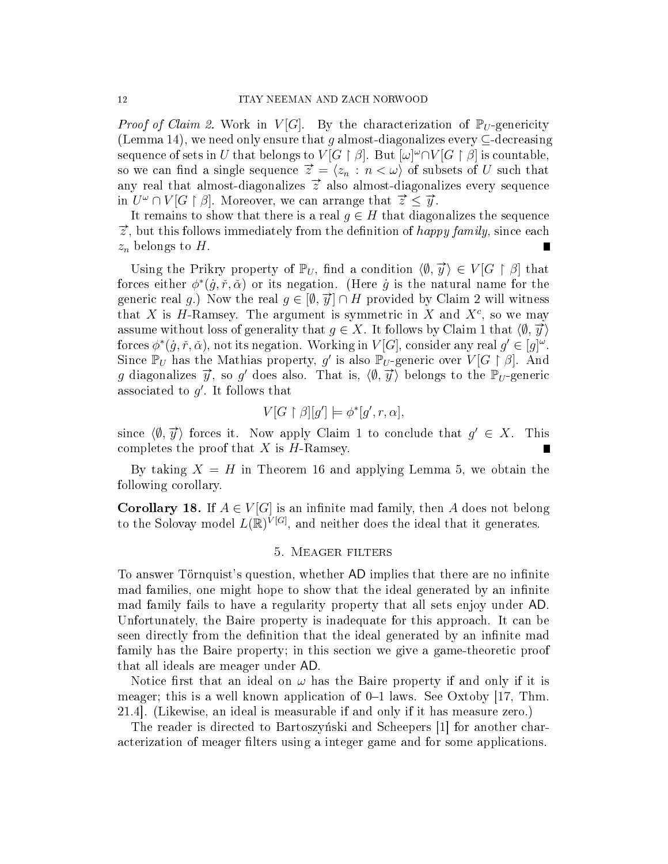*Proof of Claim 2.* Work in  $V[G]$ . By the characterization of  $\mathbb{P}_U$ -genericity (Lemma 14), we need only ensure that q almost-diagonalizes every  $\subset$ -decreasing sequence of sets in  $U$  that belongs to  $V[G\restriction \beta].$  But  $[\omega]^\omega\cap V[G\restriction \beta]$  is countable, so we can find a single sequence  $\vec{z} = \langle z_n : n \langle \omega \rangle$  of subsets of U such that any real that almost-diagonalizes  $\vec{z}$  also almost-diagonalizes every sequence in  $U^{\omega} \cap V[G \restriction \beta]$ . Moreover, we can arrange that  $\vec{z} \leq \vec{y}$ .

It remains to show that there is a real  $g \in H$  that diagonalizes the sequence  $\vec{z}$ , but this follows immediately from the definition of *happy family*, since each  $z_n$  belongs to H.

Using the Prikry property of  $\mathbb{P}_U$ , find a condition  $\langle \emptyset, \overrightarrow{y} \rangle \in V[G \restriction \beta]$  that forces either  $\phi^*(\dot{g}, \dot{r}, \dot{\alpha})$  or its negation. (Here  $\dot{g}$  is the natural name for the generic real g.) Now the real  $g \in [\emptyset, \vec{y}] \cap H$  provided by Claim 2 will witness that X is H-Ramsey. The argument is symmetric in X and  $X<sup>c</sup>$ , so we may assume without loss of generality that  $g \in X$ . It follows by Claim 1 that  $\langle \emptyset, \overrightarrow{y} \rangle$ forces  $\phi^*(\dot{g}, \dot{r}, \dot{\alpha})$ , not its negation. Working in  $V[G]$ , consider any real  $g' \in [g]^{\omega}$ . Since  $\mathbb{P}_U$  has the Mathias property, g' is also  $\mathbb{P}_U$ -generic over  $V[G \restriction \beta]$ . And g diagonalizes  $\vec{y}$ , so g' does also. That is,  $\langle \emptyset, \vec{y} \rangle$  belongs to the  $\mathbb{P}_U$ -generic associated to  $g'$ . It follows that

$$
V[G \restriction \beta][g'] \models \phi^*[g', r, \alpha],
$$

since  $\langle \emptyset, \overrightarrow{y} \rangle$  forces it. Now apply Claim 1 to conclude that  $g' \in X$ . This completes the proof that  $X$  is  $H$ -Ramsey.

By taking  $X = H$  in Theorem 16 and applying Lemma 5, we obtain the following corollary.

**Corollary 18.** If  $A \in V[G]$  is an infinite mad family, then A does not belong to the Solovay model  $L(\mathbb{R})^{\tilde{V}[G]}$ , and neither does the ideal that it generates.

## 5. Meager filters

To answer Törnquist's question, whether AD implies that there are no infinite mad families, one might hope to show that the ideal generated by an infinite mad family fails to have a regularity property that all sets enjoy under AD. Unfortunately, the Baire property is inadequate for this approach. It can be seen directly from the definition that the ideal generated by an infinite mad family has the Baire property; in this section we give a game-theoretic proof that all ideals are meager under AD.

Notice first that an ideal on  $\omega$  has the Baire property if and only if it is meager; this is a well known application of  $0-1$  laws. See Oxtoby [17, Thm. 21.4]. (Likewise, an ideal is measurable if and only if it has measure zero.)

The reader is directed to Bartoszynski and Scheepers [1] for another characterization of meager filters using a integer game and for some applications.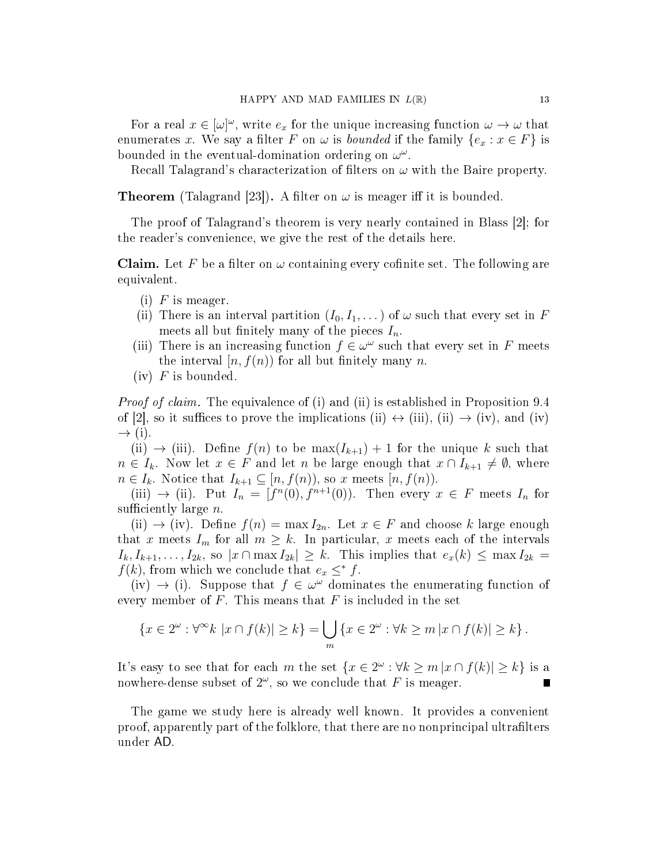For a real  $x \in [\omega]^\omega$ , write  $e_x$  for the unique increasing function  $\omega \to \omega$  that enumerates x. We say a filter F on  $\omega$  is bounded if the family  $\{e_x : x \in F\}$  is bounded in the eventual-domination ordering on  $\omega^{\omega}$ .

Recall Talagrand's characterization of filters on  $\omega$  with the Baire property.

**Theorem** (Talagrand [23]). A filter on  $\omega$  is meager iff it is bounded.

The proof of Talagrand's theorem is very nearly contained in Blass [2]; for the reader's convenience, we give the rest of the details here.

**Claim.** Let F be a filter on  $\omega$  containing every cofinite set. The following are equivalent.

- (i)  $F$  is meager.
- (ii) There is an interval partition  $(I_0, I_1, \dots)$  of  $\omega$  such that every set in F meets all but finitely many of the pieces  $I_n$ .
- (iii) There is an increasing function  $f \in \omega^{\omega}$  such that every set in F meets the interval  $[n, f(n)]$  for all but finitely many n.
- $(iv)$  F is bounded.

*Proof of claim.* The equivalence of (i) and (ii) is established in Proposition 9.4 of [2], so it suffices to prove the implications (ii)  $\leftrightarrow$  (iii), (ii)  $\rightarrow$  (iv), and (iv)  $\rightarrow$  (i).

(ii)  $\rightarrow$  (iii). Define  $f(n)$  to be max $(I_{k+1}) + 1$  for the unique k such that  $n \in I_k$ . Now let  $x \in F$  and let n be large enough that  $x \cap I_{k+1} \neq \emptyset$ , where  $n \in I_k$ . Notice that  $I_{k+1} \subseteq [n, f(n))$ , so x meets  $[n, f(n))$ .

(iii)  $\rightarrow$  (ii). Put  $I_n = [f^n(0), f^{n+1}(0)]$ . Then every  $x \in F$  meets  $I_n$  for sufficiently large  $n$ .

(ii)  $\rightarrow$  (iv). Define  $f(n) = \max I_{2n}$ . Let  $x \in F$  and choose k large enough that x meets  $I_m$  for all  $m \geq k$ . In particular, x meets each of the intervals  $I_k, I_{k+1}, \ldots, I_{2k}$ , so  $|x \cap \max I_{2k}| \geq k$ . This implies that  $e_x(k) \leq \max I_{2k} =$  $f(k)$ , from which we conclude that  $e_x \leq^* f$ .

(iv)  $\rightarrow$  (i). Suppose that  $f \in \omega^{\omega}$  dominates the enumerating function of every member of  $F$ . This means that  $F$  is included in the set

$$
\{x \in 2^{\omega} : \forall^{\infty} k \, |x \cap f(k)| \ge k\} = \bigcup_{m} \{x \in 2^{\omega} : \forall k \ge m \, |x \cap f(k)| \ge k\}.
$$

It's easy to see that for each m the set  $\{x \in 2^\omega : \forall k \ge m |x \cap f(k)| \ge k\}$  is a nowhere-dense subset of  $2^\omega$ , so we conclude that F is meager.

The game we study here is already well known. It provides a convenient proof, apparently part of the folklore, that there are no nonprincipal ultralters under AD.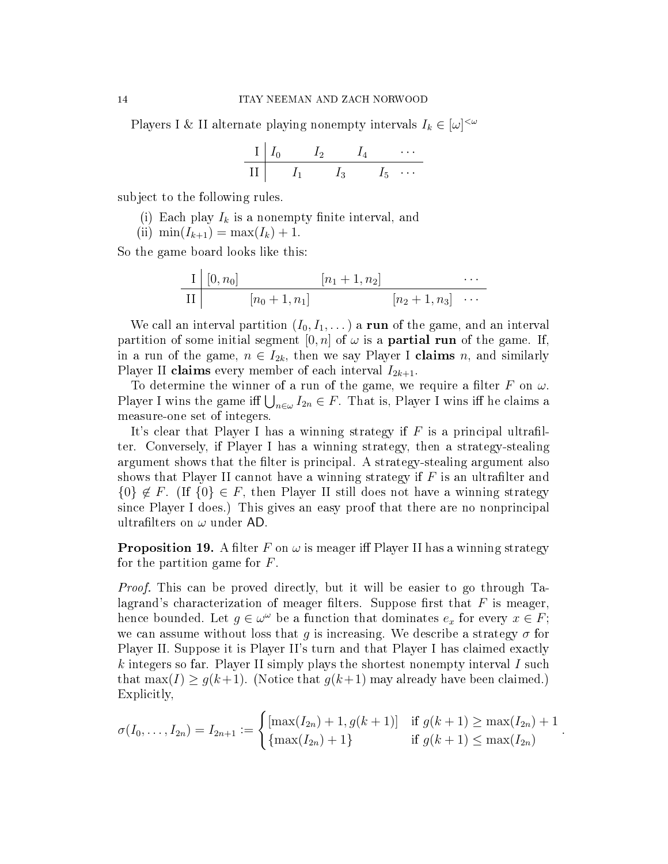Players I & II alternate playing nonempty intervals  $I_k \in [\omega]^{<\omega}$ 

$$
\begin{array}{c|ccccc}\nI & I_0 & I_2 & I_4 & \cdots \\
\hline\nII & I_1 & I_3 & I_5 & \cdots\n\end{array}
$$

subject to the following rules.

- (i) Each play  $I_k$  is a nonempty finite interval, and
- (ii)  $\min(I_{k+1}) = \max(I_k) + 1$ .

So the game board looks like this:

$$
\frac{\text{I} \mid [0, n_0]}{\text{II} \mid [n_0 + 1, n_1]} \qquad \qquad \frac{\text{I} \cdot n_1 + 1, n_2!}{\text{I} \cdot n_2 + 1, n_3! \cdots}
$$

We call an interval partition  $(I_0, I_1, \dots)$  a run of the game, and an interval partition of some initial segment  $[0, n]$  of  $\omega$  is a **partial run** of the game. If, in a run of the game,  $n \in I_{2k}$ , then we say Player I claims n, and similarly Player II claims every member of each interval  $I_{2k+1}$ .

To determine the winner of a run of the game, we require a filter F on  $\omega$ . Player I wins the game iff  $\bigcup_{n\in\omega}I_{2n}\in F$ . That is, Player I wins iff he claims a measure-one set of integers.

It's clear that Player I has a winning strategy if  $F$  is a principal ultrafilter. Conversely, if Player I has a winning strategy, then a strategy-stealing argument shows that the filter is principal. A strategy-stealing argument also shows that Player II cannot have a winning strategy if  $F$  is an ultrafilter and  ${0} \notin F$ . (If  ${0} \in F$ , then Player II still does not have a winning strategy since Player I does.) This gives an easy proof that there are no nonprincipal ultrafilters on  $\omega$  under AD.

**Proposition 19.** A filter F on  $\omega$  is meager iff Player II has a winning strategy for the partition game for F.

Proof. This can be proved directly, but it will be easier to go through Talagrand's characterization of meager filters. Suppose first that  $F$  is meager, hence bounded. Let  $g \in \omega^{\omega}$  be a function that dominates  $e_x$  for every  $x \in F$ ; we can assume without loss that g is increasing. We describe a strategy  $\sigma$  for Player II. Suppose it is Player II's turn and that Player I has claimed exactly k integers so far. Player II simply plays the shortest nonempty interval I such that max(I)  $\geq g(k+1)$ . (Notice that  $g(k+1)$  may already have been claimed.) Explicitly,

$$
\sigma(I_0,\ldots,I_{2n})=I_{2n+1}:=\begin{cases} [\max(I_{2n})+1,g(k+1)] & \text{if } g(k+1)\geq \max(I_{2n})+1\\ \{\max(I_{2n})+1\} & \text{if } g(k+1)\leq \max(I_{2n}) \end{cases}.
$$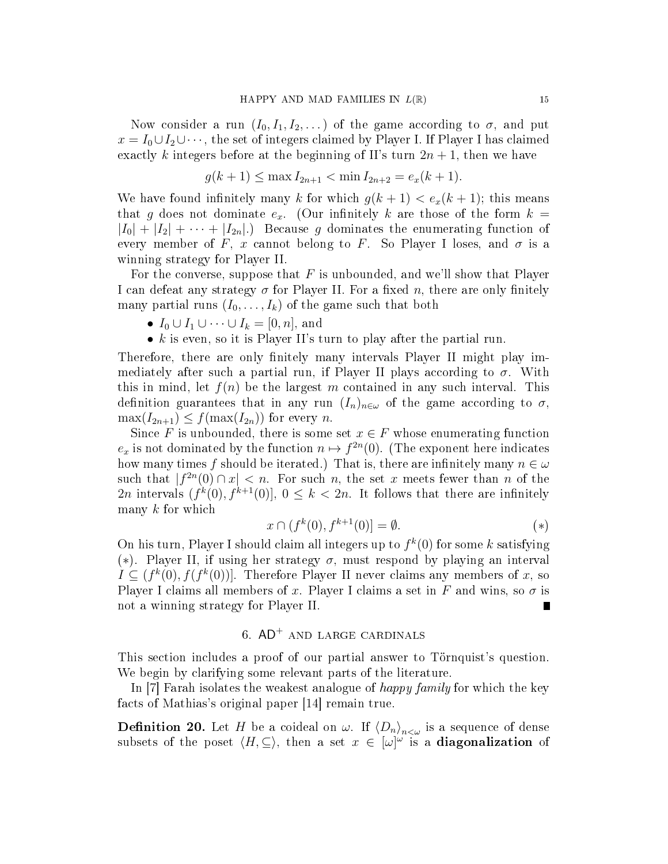Now consider a run  $(I_0, I_1, I_2, ...)$  of the game according to  $\sigma$ , and put  $x = I_0 \cup I_2 \cup \cdots$ , the set of integers claimed by Player I. If Player I has claimed exactly k integers before at the beginning of II's turn  $2n + 1$ , then we have

$$
g(k+1) \le \max I_{2n+1} < \min I_{2n+2} = e_x(k+1).
$$

We have found infinitely many k for which  $g(k + 1) < e_x(k + 1)$ ; this means that g does not dominate  $e_x$ . (Our infinitely k are those of the form  $k =$  $|I_0| + |I_2| + \cdots + |I_{2n}|$ . Because g dominates the enumerating function of every member of F, x cannot belong to F. So Player I loses, and  $\sigma$  is a winning strategy for Player II.

For the converse, suppose that  $F$  is unbounded, and we'll show that Player I can defeat any strategy  $\sigma$  for Player II. For a fixed n, there are only finitely many partial runs  $(I_0, \ldots, I_k)$  of the game such that both

- $I_0 \cup I_1 \cup \cdots \cup I_k = [0, n]$ , and
- $k$  is even, so it is Player II's turn to play after the partial run.

Therefore, there are only finitely many intervals Player II might play immediately after such a partial run, if Player II plays according to  $\sigma$ . With this in mind, let  $f(n)$  be the largest m contained in any such interval. This definition guarantees that in any run  $(I_n)_{n\in\omega}$  of the game according to  $\sigma$ ,  $\max(I_{2n+1}) \leq f(\max(I_{2n}))$  for every n.

Since F is unbounded, there is some set  $x \in F$  whose enumerating function  $e_x$  is not dominated by the function  $n \mapsto f^{2n}(0)$ . (The exponent here indicates how many times f should be iterated.) That is, there are infinitely many  $n \in \omega$ such that  $|f^{2n}(0) \cap x| < n$ . For such n, the set x meets fewer than n of the 2n intervals  $(f^k(0), f^{k+1}(0)], 0 \leq k < 2n$ . It follows that there are infinitely many  $k$  for which

$$
x \cap (f^k(0), f^{k+1}(0)) = \emptyset. \tag{*}
$$

On his turn, Player I should claim all integers up to  $f^k(0)$  for some k satisfying (\*). Player II, if using her strategy  $\sigma$ , must respond by playing an interval  $I \subseteq (f^k(0), f(f^k(0))].$  Therefore Player II never claims any members of x, so Player I claims all members of x. Player I claims a set in F and wins, so  $\sigma$  is not a winning strategy for Player II.

# 6.  $AD^+$  and large cardinals

This section includes a proof of our partial answer to Törnquist's question. We begin by clarifying some relevant parts of the literature.

In [7] Farah isolates the weakest analogue of happy family for which the key facts of Mathias's original paper [14] remain true.

**Definition 20.** Let H be a coideal on  $\omega$ . If  $\langle D_n \rangle_{n<\omega}$  is a sequence of dense subsets of the poset  $\langle H, \subseteq \rangle$ , then a set  $x \in [\omega]^{\omega}$  is a **diagonalization** of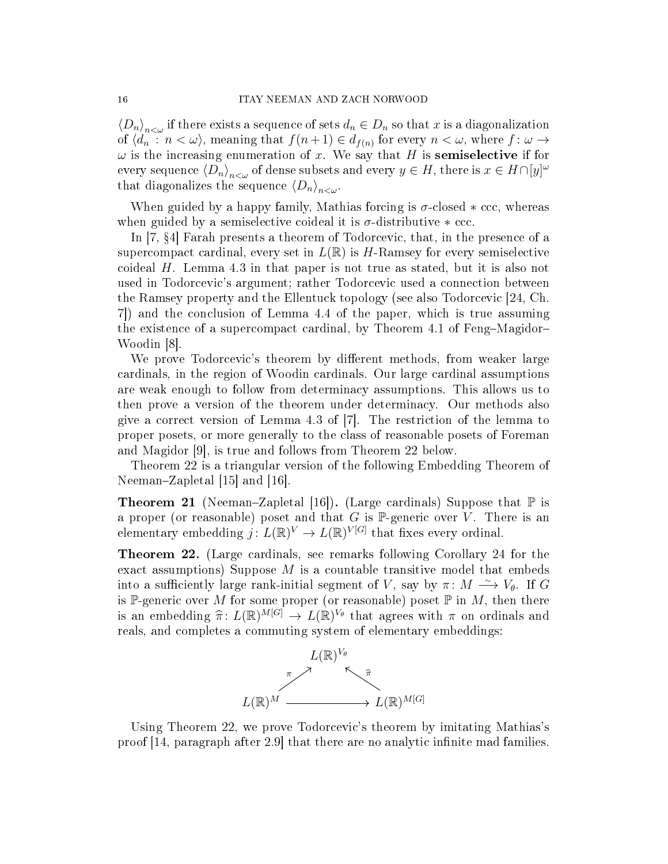$\langle D_n \rangle_{n \leq \omega}$  if there exists a sequence of sets  $d_n \in D_n$  so that x is a diagonalization of  $\langle d_n : n < \omega \rangle$ , meaning that  $f(n+1) \in d_{f(n)}$  for every  $n < \omega$ , where  $f : \omega \to$  $\omega$  is the increasing enumeration of x. We say that H is **semiselective** if for every sequence  $\langle D_n\rangle_{n<\omega}$  of dense subsets and every  $y\in H,$  there is  $x\in H\cap[y]^\omega$ that diagonalizes the sequence  $\langle D_n \rangle_{n \leq \omega}$ .

When guided by a happy family, Mathias forcing is  $\sigma$ -closed  $*$  ccc, whereas when guided by a semiselective coideal it is  $\sigma$ -distributive  $\ast$  ccc.

In [7, 4] Farah presents a theorem of Todorcevic, that, in the presence of a supercompact cardinal, every set in  $L(\mathbb{R})$  is H-Ramsey for every semiselective coideal  $H$ . Lemma 4.3 in that paper is not true as stated, but it is also not used in Todorcevic's argument; rather Todorcevic used a connection between the Ramsey property and the Ellentuck topology (see also Todorcevic [24, Ch. 7]) and the conclusion of Lemma 4.4 of the paper, which is true assuming the existence of a supercompact cardinal, by Theorem 4.1 of Feng-Magidor-Woodin [8].

We prove Todorcevic's theorem by different methods, from weaker large cardinals, in the region of Woodin cardinals. Our large cardinal assumptions are weak enough to follow from determinacy assumptions. This allows us to then prove a version of the theorem under determinacy. Our methods also give a correct version of Lemma 4.3 of [7]. The restriction of the lemma to proper posets, or more generally to the class of reasonable posets of Foreman and Magidor [9], is true and follows from Theorem 22 below.

Theorem 22 is a triangular version of the following Embedding Theorem of Neeman–Zapletal [15] and [16].

**Theorem 21** (Neeman–Zapletal [16]). (Large cardinals) Suppose that  $\mathbb{P}$  is a proper (or reasonable) poset and that  $G$  is  $\mathbb P$ -generic over  $V$ . There is an elementary embedding  $j: L(\mathbb{R})^V \to L(\mathbb{R})^{V[G]}$  that fixes every ordinal.

Theorem 22. (Large cardinals, see remarks following Corollary 24 for the exact assumptions) Suppose  $M$  is a countable transitive model that embeds into a sufficiently large rank-initial segment of V, say by  $\pi \colon M \stackrel{\sim}{\longrightarrow} V_{\theta}$ . If G is P-generic over M for some proper (or reasonable) poset  $\mathbb P$  in M, then there is an embedding  $\hat{\pi} \colon L(\mathbb{R})^{\tilde{M}[G]} \to L(\mathbb{R})^{V_{\theta}}$  that agrees with  $\pi$  on ordinals and<br>reals and completes a commuting system of elementary embeddings: reals, and completes a commuting system of elementary embeddings:



Using Theorem 22, we prove Todorcevic's theorem by imitating Mathias's proof  $(14,$  paragraph after 2.9 that there are no analytic infinite mad families.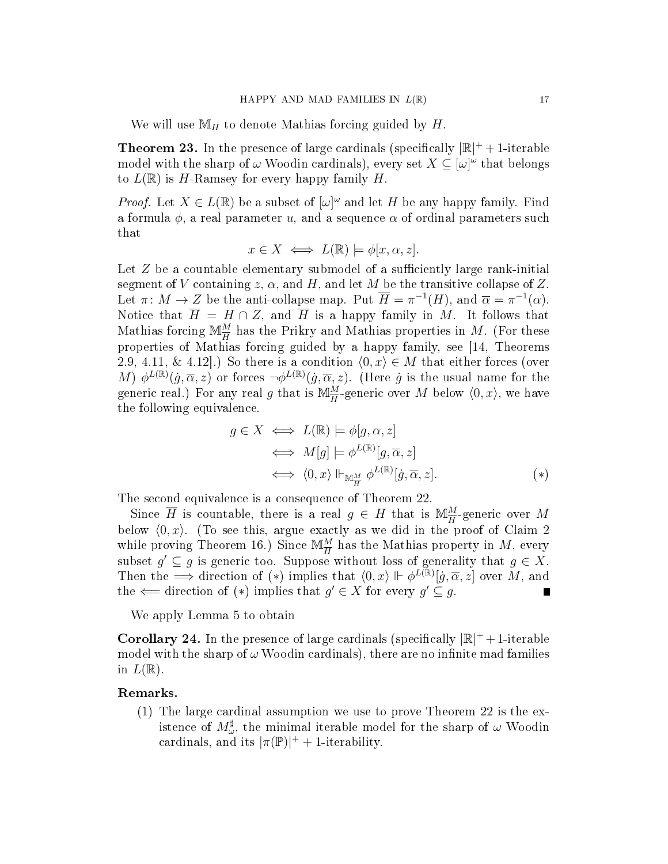We will use  $\mathbb{M}_H$  to denote Mathias forcing guided by H.

**Theorem 23.** In the presence of large cardinals (specifically  $|\mathbb{R}|^+ + 1$ -iterable model with the sharp of  $\omega$  Woodin cardinals), every set  $X \subseteq [\omega]^\omega$  that belongs to  $L(\mathbb{R})$  is H-Ramsey for every happy family H.

*Proof.* Let  $X \in L(\mathbb{R})$  be a subset of  $[\omega]^\omega$  and let H be any happy family. Find a formula  $\phi$ , a real parameter u, and a sequence  $\alpha$  of ordinal parameters such that

$$
x \in X \iff L(\mathbb{R}) \models \phi[x, \alpha, z].
$$

Let  $Z$  be a countable elementary submodel of a sufficiently large rank-initial segment of V containing z,  $\alpha$ , and H, and let M be the transitive collapse of Z. Let  $\pi \colon M \to Z$  be the anti-collapse map. Put  $\overline{H} = \pi^{-1}(H)$ , and  $\overline{\alpha} = \pi^{-1}(\alpha)$ . Notice that  $\overline{H} = H \cap Z$ , and  $\overline{H}$  is a happy family in M. It follows that Mathias forcing  $\mathbb{M}_{\overline{H}}^M$  has the Prikry and Mathias properties in M. (For these properties of Mathias forcing guided by a happy family, see [14, Theorems 2.9, 4.11, & 4.12].) So there is a condition  $\langle 0, x \rangle \in M$  that either forces (over M)  $\phi^{L(\mathbb{R})}(g,\overline{\alpha},z)$  or forces  $\neg \phi^{L(\mathbb{R})}(g,\overline{\alpha},z)$ . (Here g is the usual name for the generic real.) For any real g that is  $\mathbb{M}_{\overline{H}}^M$ -generic over M below  $\langle 0, x \rangle$ , we have the following equivalence.

$$
g \in X \iff L(\mathbb{R}) \models \phi[g, \alpha, z]
$$
  
\n
$$
\iff M[g] \models \phi^{L(\mathbb{R})}[g, \overline{\alpha}, z]
$$
  
\n
$$
\iff \langle 0, x \rangle \Vdash_{\mathbb{M}_{\overline{H}}^{\underline{M}}} \phi^{L(\mathbb{R})}[g, \overline{\alpha}, z].
$$
  
\n
$$
(*)
$$

The second equivalence is a consequence of Theorem 22.

Since  $\overline{H}$  is countable, there is a real  $g \in H$  that is  $\mathbb{M}_{\overline{H}}^M$ -generic over M below  $\langle 0, x \rangle$ . (To see this, argue exactly as we did in the proof of Claim 2 while proving Theorem 16.) Since  $\mathbb{M}_{\overline{H}}^M$  has the Mathias property in  $M$ , every subset  $g' \subseteq g$  is generic too. Suppose without loss of generality that  $g \in X$ . Then the  $\Rightarrow$  direction of (\*) implies that  $\langle 0, x \rangle \Vdash \phi^{L(\mathbb{R})}[j, \overline{\alpha}, z]$  over M, and the  $\Leftarrow$  direction of  $(*)$  implies that  $g' \in X$  for every  $g' \subseteq g$ . Г

We apply Lemma 5 to obtain

**Corollary 24.** In the presence of large cardinals (specifically  $|\mathbb{R}|^+ + 1$ -iterable model with the sharp of  $\omega$  Woodin cardinals), there are no infinite mad families in  $L(\mathbb{R})$ .

#### Remarks.

(1) The large cardinal assumption we use to prove Theorem 22 is the existence of  $M^\sharp_\omega$ , the minimal iterable model for the sharp of  $\omega$  Woodin cardinals, and its  $|\pi(\mathbb{P})|^{+} + 1$ -iterability.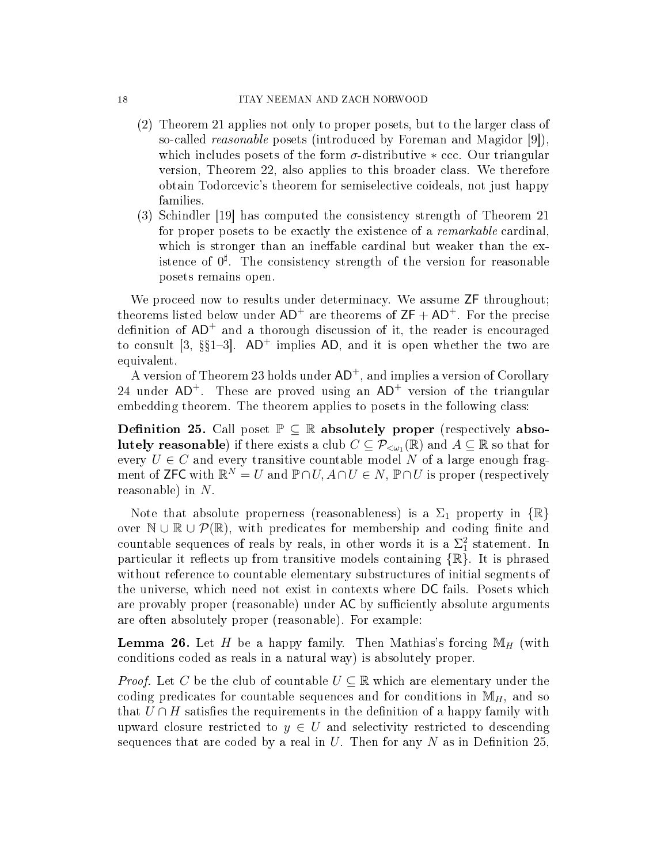- (2) Theorem 21 applies not only to proper posets, but to the larger class of so-called reasonable posets (introduced by Foreman and Magidor [9]), which includes posets of the form  $\sigma$ -distributive  $*$  ccc. Our triangular version, Theorem 22, also applies to this broader class. We therefore obtain Todorcevic's theorem for semiselective coideals, not just happy families.
- (3) Schindler [19] has computed the consistency strength of Theorem 21 for proper posets to be exactly the existence of a remarkable cardinal, which is stronger than an ineffable cardinal but weaker than the existence of  $0^{\sharp}$ . The consistency strength of the version for reasonable posets remains open.

We proceed now to results under determinacy. We assume  $ZF$  throughout; theorems listed below under  $AD^+$  are theorems of  $ZF + AD^+$ . For the precise definition of  $AD^+$  and a thorough discussion of it, the reader is encouraged to consult [3,  $\S21-3$ ]. AD<sup>+</sup> implies AD, and it is open whether the two are equivalent.

A version of Theorem 23 holds under  $AD^+$ , and implies a version of Corollary 24 under  $AD^+$ . These are proved using an  $AD^+$  version of the triangular embedding theorem. The theorem applies to posets in the following class:

**Definition 25.** Call poset  $\mathbb{P} \subseteq \mathbb{R}$  absolutely proper (respectively absolutely reasonable) if there exists a club  $C\subseteq \mathcal{P}_{<\omega_1}(\mathbb{R})$  and  $A\subseteq \mathbb{R}$  so that for every  $U \in C$  and every transitive countable model N of a large enough fragment of ZFC with  $\mathbb{R}^N = U$  and  $\mathbb{P} \cap U$ ,  $A \cap U \in N$ ,  $\mathbb{P} \cap U$  is proper (respectively reasonable) in N.

Note that absolute properness (reasonableness) is a  $\Sigma_1$  property in  $\{\mathbb{R}\}$ over  $\mathbb{N} \cup \mathbb{R} \cup \mathcal{P}(\mathbb{R})$ , with predicates for membership and coding finite and countable sequences of reals by reals, in other words it is a  $\Sigma_1^2$  statement. In particular it reflects up from transitive models containing  $\{\mathbb{R}\}\.$  It is phrased without reference to countable elementary substructures of initial segments of the universe, which need not exist in contexts where DC fails. Posets which are provably proper (reasonable) under AC by sufficiently absolute arguments are often absolutely proper (reasonable). For example:

**Lemma 26.** Let H be a happy family. Then Mathias's forcing  $\mathbb{M}_H$  (with conditions coded as reals in a natural way) is absolutely proper.

*Proof.* Let C be the club of countable  $U \subseteq \mathbb{R}$  which are elementary under the coding predicates for countable sequences and for conditions in  $M_H$ , and so that  $U \cap H$  satisfies the requirements in the definition of a happy family with upward closure restricted to  $y \in U$  and selectivity restricted to descending sequences that are coded by a real in U. Then for any N as in Definition 25,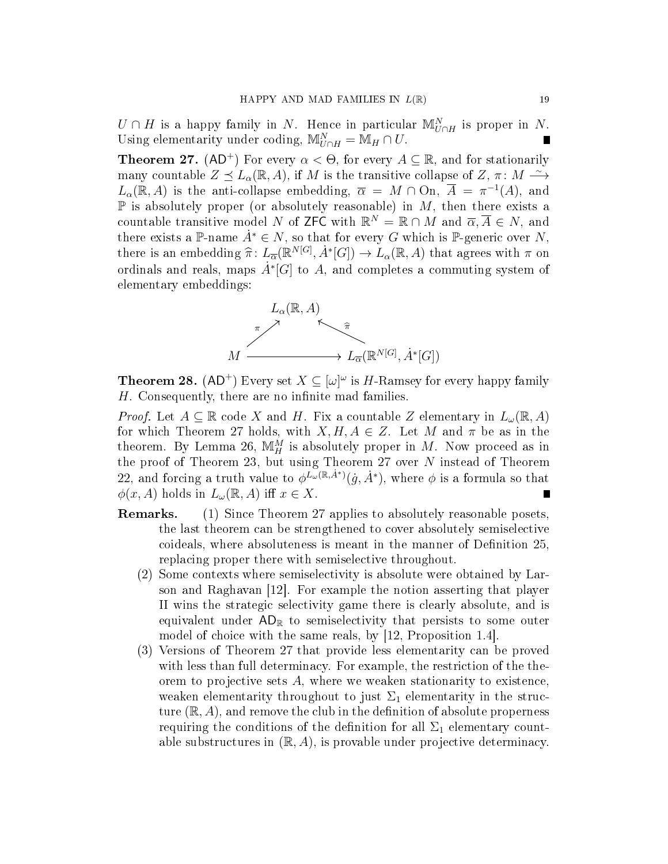$U \cap H$  is a happy family in N. Hence in particular  $\mathbb{M}_{U \cap H}^N$  is proper in N. Using elementarity under coding,  $\mathbb{M}_{U\cap H}^N = \mathbb{M}_H \cap U$ . Г

**Theorem 27.** (AD<sup>+</sup>) For every  $\alpha < \Theta$ , for every  $A \subseteq \mathbb{R}$ , and for stationarily many countable  $Z \preceq L_{\alpha}(\mathbb{R}, A)$ , if M is the transitive collapse of  $Z, \pi \colon M \stackrel{\sim}{\longrightarrow}$  $L_{\alpha}(\mathbb{R}, A)$  is the anti-collapse embedding,  $\overline{\alpha} = M \cap \overline{\mathrm{On}}, \overline{A} = \pi^{-1}(A)$ , and  $\mathbb P$  is absolutely proper (or absolutely reasonable) in M, then there exists a countable transitive model N of ZFC with  $\mathbb{R}^N = \mathbb{R} \cap M$  and  $\overline{\alpha}, \overline{A} \in N$ , and there exists a P-name  $\dot{A}^* \in N$ , so that for every G which is P-generic over N, there is an embedding  $\hat{\pi}$ :  $L_{\overline{\alpha}}(\mathbb{R}^{N[G]}, \dot{A}^*[G]) \to L_{\alpha}(\mathbb{R}, A)$  that agrees with  $\pi$  on<br>ordinals and reals, maps,  $\dot{A}^*[G]$  to  $A$  and completes a computing system of ordinals and reals, maps  $\dot{A}^*[G]$  to A, and completes a commuting system of elementary embeddings:



**Theorem 28.** (AD<sup>+</sup>) Every set  $X \subseteq [\omega]^\omega$  is H-Ramsey for every happy family  $H.$  Consequently, there are no infinite mad families.

*Proof.* Let  $A \subseteq \mathbb{R}$  code X and H. Fix a countable Z elementary in  $L_{\omega}(\mathbb{R}, A)$ for which Theorem 27 holds, with  $X, H, A \in \mathbb{Z}$ . Let M and  $\pi$  be as in the theorem. By Lemma 26,  $\mathbb{M}_{H}^{M}$  is absolutely proper in M. Now proceed as in the proof of Theorem 23, but using Theorem 27 over  $N$  instead of Theorem 22, and forcing a truth value to  $\phi^{L_{\omega}(\mathbb{R}, \dot{A}^*)}(\dot{g}, \dot{A}^*)$ , where  $\phi$  is a formula so that  $\phi(x, A)$  holds in  $L_{\omega}(\mathbb{R}, A)$  iff  $x \in X$ .

- Remarks. (1) Since Theorem 27 applies to absolutely reasonable posets, the last theorem can be strengthened to cover absolutely semiselective coideals, where absoluteness is meant in the manner of Definition 25, replacing proper there with semiselective throughout.
	- (2) Some contexts where semiselectivity is absolute were obtained by Larson and Raghavan [12]. For example the notion asserting that player II wins the strategic selectivity game there is clearly absolute, and is equivalent under  $AD_{\mathbb{R}}$  to semiselectivity that persists to some outer model of choice with the same reals, by [12, Proposition 1.4].
	- (3) Versions of Theorem 27 that provide less elementarity can be proved with less than full determinacy. For example, the restriction of the theorem to projective sets A, where we weaken stationarity to existence, weaken elementarity throughout to just  $\Sigma_1$  elementarity in the structure  $(\mathbb{R}, A)$ , and remove the club in the definition of absolute properness requiring the conditions of the definition for all  $\Sigma_1$  elementary countable substructures in  $(\mathbb{R}, A)$ , is provable under projective determinacy.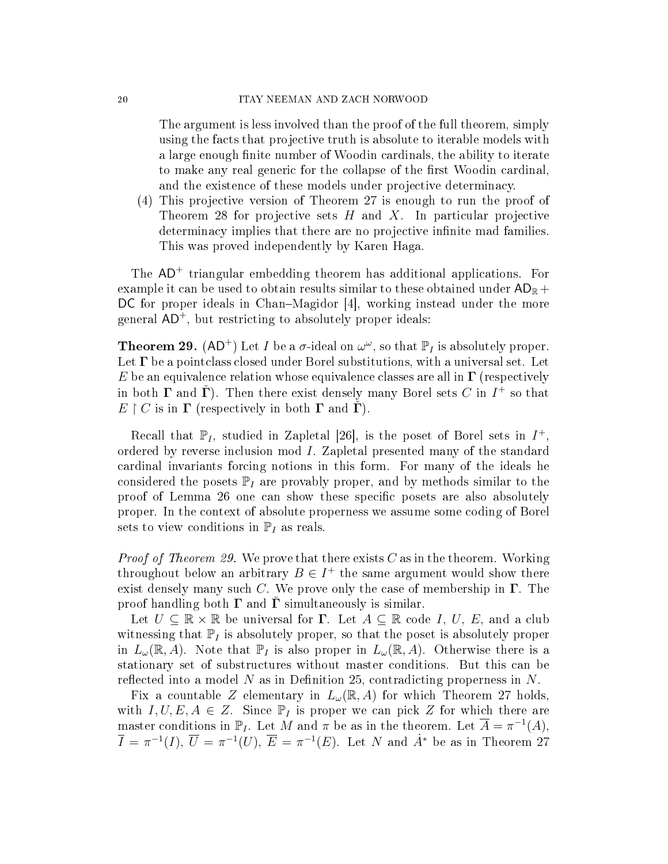#### 20 ITAY NEEMAN AND ZACH NORWOOD

The argument is less involved than the proof of the full theorem, simply using the facts that projective truth is absolute to iterable models with a large enough finite number of Woodin cardinals, the ability to iterate to make any real generic for the collapse of the first Woodin cardinal, and the existence of these models under projective determinacy.

(4) This projective version of Theorem 27 is enough to run the proof of Theorem 28 for projective sets  $H$  and  $X$ . In particular projective determinacy implies that there are no projective infinite mad families. This was proved independently by Karen Haga.

The  $AD<sup>+</sup>$  triangular embedding theorem has additional applications. For example it can be used to obtain results similar to these obtained under  $AD_{\mathbb{R}} +$  $DC$  for proper ideals in Chan–Magidor  $|4|$ , working instead under the more general  $AD^+$ , but restricting to absolutely proper ideals:

**Theorem 29.** (AD<sup>+</sup>) Let I be a  $\sigma$ -ideal on  $\omega^{\omega}$ , so that  $\mathbb{P}_I$  is absolutely proper. Let  $\Gamma$  be a pointclass closed under Borel substitutions, with a universal set. Let E be an equivalence relation whose equivalence classes are all in  $\Gamma$  (respectively in both  $\Gamma$  and  $\check{\Gamma}$ ). Then there exist densely many Borel sets  $C$  in  $I^{+}$  so that  $E \restriction C$  is in  $\Gamma$  (respectively in both  $\Gamma$  and  $\dot{\Gamma}$ ).

Recall that  $\mathbb{P}_I$ , studied in Zapletal [26], is the poset of Borel sets in  $I^+$ , ordered by reverse inclusion mod I. Zapletal presented many of the standard cardinal invariants forcing notions in this form. For many of the ideals he considered the posets  $\mathbb{P}_I$  are provably proper, and by methods similar to the proof of Lemma 26 one can show these specific posets are also absolutely proper. In the context of absolute properness we assume some coding of Borel sets to view conditions in  $\mathbb{P}_I$  as reals.

*Proof of Theorem 29.* We prove that there exists  $C$  as in the theorem. Working throughout below an arbitrary  $B \in I^+$  the same argument would show there exist densely many such C. We prove only the case of membership in  $\Gamma$ . The proof handling both  $\Gamma$  and  $\Gamma$  simultaneously is similar.

Let  $U \subseteq \mathbb{R} \times \mathbb{R}$  be universal for  $\Gamma$ . Let  $A \subseteq \mathbb{R}$  code I, U, E, and a club witnessing that  $\mathbb{P}_I$  is absolutely proper, so that the poset is absolutely proper in  $L_{\omega}(\mathbb{R}, A)$ . Note that  $\mathbb{P}_I$  is also proper in  $L_{\omega}(\mathbb{R}, A)$ . Otherwise there is a stationary set of substructures without master conditions. But this can be reflected into a model N as in Definition 25, contradicting properness in  $N$ .

Fix a countable Z elementary in  $L_{\omega}(\mathbb{R}, A)$  for which Theorem 27 holds, with  $I, U, E, A \in \mathbb{Z}$ . Since  $\mathbb{P}_I$  is proper we can pick Z for which there are master conditions in  $\mathbb{P}_I$ . Let M and  $\pi$  be as in the theorem. Let  $\overline{A} = \pi^{-1}(A)$ ,  $\overline{I} = \pi^{-1}(I), \ \overline{U} = \pi^{-1}(U), \ \overline{E} = \pi^{-1}(E)$ . Let N and  $\dot{A}^*$  be as in Theorem 27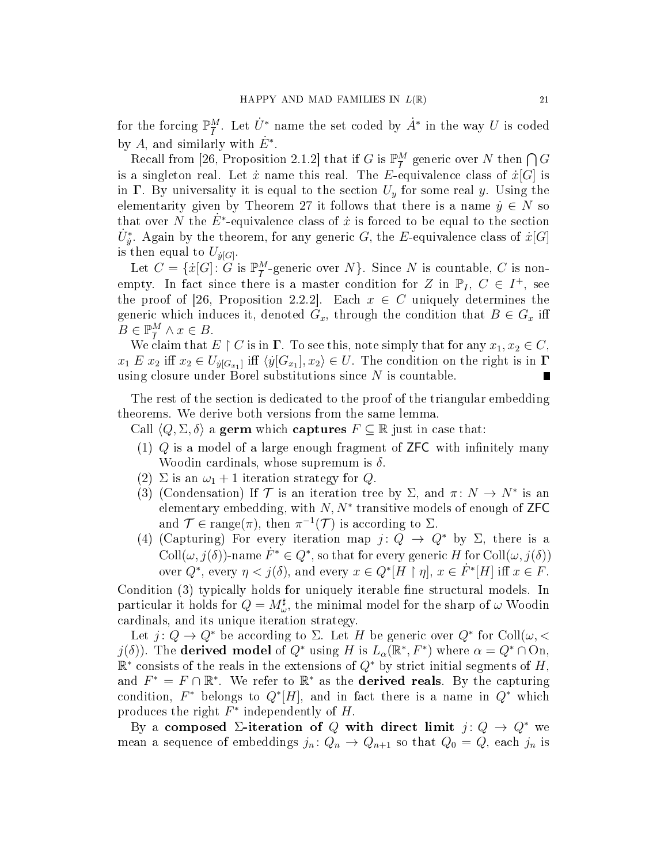for the forcing  $\mathbb{P}^M_{\overline{I}}$  $\frac{M}{I}$ . Let  $\dot{U}^*$  name the set coded by  $\dot{A}^*$  in the way U is coded by A, and similarly with  $\dot{E}^*$ .

Recall from [26, Proposition 2.1.2] that if G is  $\mathbb{P}^M_{\overline{I}}$  $\frac{M}{I}$  generic over  $N$  then  $\bigcap G$ is a singleton real. Let  $\dot{x}$  name this real. The E-equivalence class of  $\dot{x}[G]$  is in  $\Gamma$ . By universality it is equal to the section  $U_y$  for some real y. Using the elementarity given by Theorem 27 it follows that there is a name  $\dot{y} \in N$  so that over N the  $\dot{E}^*$ -equivalence class of x is forced to be equal to the section  $\dot{U}_{\dot{y}}^*$ . Again by the theorem, for any generic  $G,$  the  $E$ -equivalence class of  $\dot{x}[G]$ is then equal to  $U_{\dot{y}[G]}$ .

Let  $C = \{ \dot{x}[G] : G \text{ is } \mathbb{P}^M_{\overline{I}} \}$  $\frac{M}{I}$ -generic over  $N$ }. Since  $N$  is countable,  $C$  is nonempty. In fact since there is a master condition for Z in  $\mathbb{P}_I$ ,  $C \in I^+$ , see the proof of [26, Proposition 2.2.2]. Each  $x \in C$  uniquely determines the generic which induces it, denoted  $G_x$ , through the condition that  $B \in G_x$  iff  $B \in \mathbb{P}^M_{\overline{I}}$  $\frac{M}{I} \wedge x \in B$ .

We claim that  $E \restriction C$  is in  $\Gamma$ . To see this, note simply that for any  $x_1, x_2 \in C$ ,  $x_1 E x_2$  iff  $x_2 \in U_{\dot{y}[G_{x_1}]}$  iff  $\langle \dot{y}[G_{x_1}], x_2 \rangle \in U$ . The condition on the right is in  $\Gamma$ using closure under Borel substitutions since  $N$  is countable.

The rest of the section is dedicated to the proof of the triangular embedding theorems. We derive both versions from the same lemma.

- Call  $\langle Q, \Sigma, \delta \rangle$  a germ which captures  $F \subseteq \mathbb{R}$  just in case that:
- $(1)$  Q is a model of a large enough fragment of ZFC with infinitely many Woodin cardinals, whose supremum is  $\delta$ .
- (2)  $\Sigma$  is an  $\omega_1 + 1$  iteration strategy for Q.
- (3) (Condensation) If  $\mathcal T$  is an iteration tree by  $\Sigma$ , and  $\pi: N \to N^*$  is an elementary embedding, with  $N, N^*$  transitive models of enough of ZFC and  $\mathcal{T} \in \text{range}(\pi)$ , then  $\pi^{-1}(\mathcal{T})$  is according to  $\Sigma$ .
- (4) (Capturing) For every iteration map  $j: Q \to Q^*$  by  $\Sigma$ , there is a Coll $(\omega, j(\delta))$ -name  $\dot{F}^* \in Q^*$ , so that for every generic H for Coll $(\omega, j(\delta))$ over  $Q^*$ , every  $\eta < j(\delta)$ , and every  $x \in Q^*[H \restriction \eta]$ ,  $x \in F^*[H]$  iff  $x \in F$ .

Condition (3) typically holds for uniquely iterable fine structural models. In particular it holds for  $Q = M^{\sharp}_{\omega}$ , the minimal model for the sharp of  $\omega$  Woodin cardinals, and its unique iteration strategy.

Let  $j: Q \to Q^*$  be according to  $\Sigma$ . Let H be generic over  $Q^*$  for Coll $(\omega, \langle$  $j(\delta)$ ). The **derived model** of  $Q^*$  using H is  $L_{\alpha}(\mathbb{R}^*, F^*)$  where  $\alpha = Q^* \cap \text{On}$ ,  $\mathbb{R}^*$  consists of the reals in the extensions of  $Q^*$  by strict initial segments of  $H,$ and  $F^* = F \cap \mathbb{R}^*$ . We refer to  $\mathbb{R}^*$  as the **derived reals**. By the capturing condition,  $F^*$  belongs to  $Q^*[H]$ , and in fact there is a name in  $Q^*$  which produces the right  $F^*$  independently of  $H$ .

By a composed  $\Sigma$ -iteration of Q with direct limit  $j: Q \to Q^*$  we mean a sequence of embeddings  $j_n: Q_n \to Q_{n+1}$  so that  $Q_0 = Q$ , each  $j_n$  is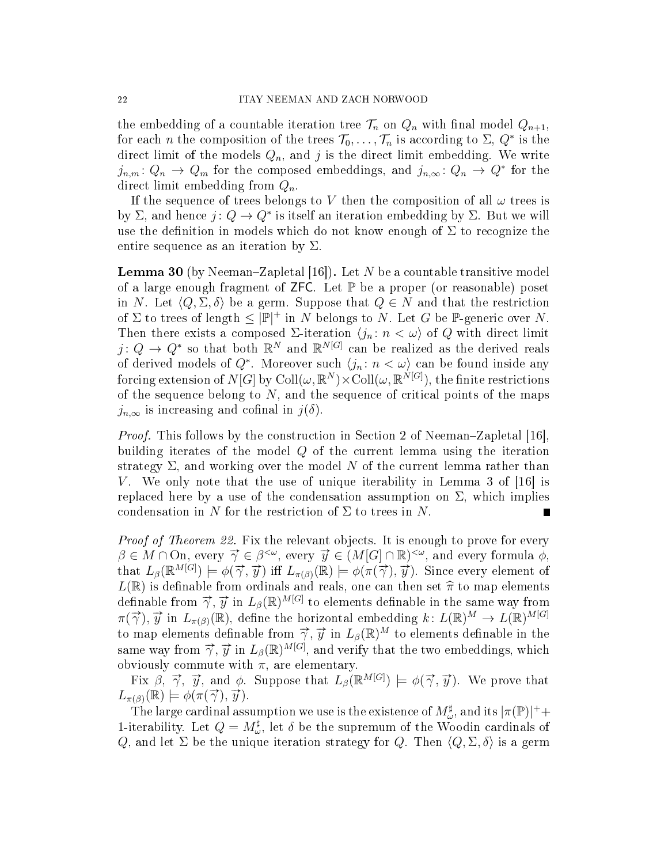the embedding of a countable iteration tree  $\mathcal{T}_n$  on  $Q_n$  with final model  $Q_{n+1}$ , for each n the composition of the trees  $\mathcal{T}_0, \ldots, \mathcal{T}_n$  is according to  $\Sigma, Q^*$  is the direct limit of the models  $Q_n$ , and j is the direct limit embedding. We write  $j_{n,m}: Q_n \to Q_m$  for the composed embeddings, and  $j_{n,\infty}: Q_n \to Q^*$  for the direct limit embedding from  $Q_n$ .

If the sequence of trees belongs to V then the composition of all  $\omega$  trees is by  $\Sigma$ , and hence  $j: Q \to Q^*$  is itself an iteration embedding by  $\Sigma$ . But we will use the definition in models which do not know enough of  $\Sigma$  to recognize the entire sequence as an iteration by  $\Sigma$ .

**Lemma 30** (by Neeman–Zapletal [16]). Let N be a countable transitive model of a large enough fragment of  $\mathsf{ZFC}$ . Let  $\mathbb P$  be a proper (or reasonable) poset in N. Let  $\langle Q, \Sigma, \delta \rangle$  be a germ. Suppose that  $Q \in N$  and that the restriction of  $\Sigma$  to trees of length  $\leq |\mathbb{P}|^+$  in N belongs to N. Let G be P-generic over N. Then there exists a composed  $\Sigma$ -iteration  $\langle j_n : n < \omega \rangle$  of Q with direct limit  $j: Q \to Q^*$  so that both  $\mathbb{R}^N$  and  $\mathbb{R}^{N[G]}$  can be realized as the derived reals of derived models of  $Q^*$ . Moreover such  $\langle j_n : n < \omega \rangle$  can be found inside any forcing extension of  $N[G]$  by  $\mathrm{Coll}(\omega,\mathbb R^N)\times\mathrm{Coll}(\omega,\mathbb R^{N[G]}),$  the finite restrictions of the sequence belong to  $N$ , and the sequence of critical points of the maps  $j_{n,\infty}$  is increasing and cofinal in  $j(\delta)$ .

*Proof.* This follows by the construction in Section 2 of Neeman–Zapletal [16], building iterates of the model Q of the current lemma using the iteration strategy  $\Sigma$ , and working over the model N of the current lemma rather than V. We only note that the use of unique iterability in Lemma 3 of  $|16|$  is replaced here by a use of the condensation assumption on  $\Sigma$ , which implies condensation in N for the restriction of  $\Sigma$  to trees in N.

Proof of Theorem 22. Fix the relevant objects. It is enough to prove for every  $\beta \in M \cap \Omega$ , every  $\vec{\gamma} \in \beta^{<\omega}$ , every  $\vec{y} \in (M[G] \cap \mathbb{R})^{<\omega}$ , and every formula  $\phi$ , that  $L_{\beta}(\mathbb{R}^{M[G]}) \models \phi(\vec{\gamma}, \vec{y})$  iff  $L_{\pi(\beta)}(\mathbb{R}) \models \phi(\pi(\vec{\gamma}), \vec{y})$ . Since every element of  $L(\mathbb{R})$  is definable from ordinals and reals, one can then set  $\widehat{\pi}$  to map elements definable from  $\vec{\gamma}, \vec{y}$  in  $L_{\beta}(\mathbb{R})^{M[G]}$  to elements definable in the same way from  $\pi(\vec{\gamma}), \vec{y}$  in  $L_{\pi(\beta)}(\mathbb{R})$ , define the horizontal embedding  $k: L(\mathbb{R})^M \to L(\mathbb{R})^{M[G]}$ to map elements definable from  $\vec{\gamma}, \vec{y}$  in  $L_{\beta}(\mathbb{R})^M$  to elements definable in the same way from  $\vec{\gamma}$ ,  $\vec{y}$  in  $L_{\beta}(\mathbb{R})^{M[G]}$ , and verify that the two embeddings, which obviously commute with  $\pi$ , are elementary.

Fix  $\beta$ ,  $\vec{\gamma}$ ,  $\vec{y}$ , and  $\phi$ . Suppose that  $L_{\beta}(\mathbb{R}^{M[G]}) \models \phi(\vec{\gamma}, \vec{y})$ . We prove that  $L_{\pi(\beta)}(\mathbb{R}) \models \phi(\pi(\vec{\gamma}), \vec{y}).$ 

The large cardinal assumption we use is the existence of  $M^{\sharp}_{\omega}$ , and its  $|\pi(\mathbb{P})|^{+}$ + 1-iterability. Let  $Q = M^{\sharp}_{\omega}$ , let  $\delta$  be the supremum of the Woodin cardinals of Q, and let  $\Sigma$  be the unique iteration strategy for Q. Then  $\langle Q, \Sigma, \delta \rangle$  is a germ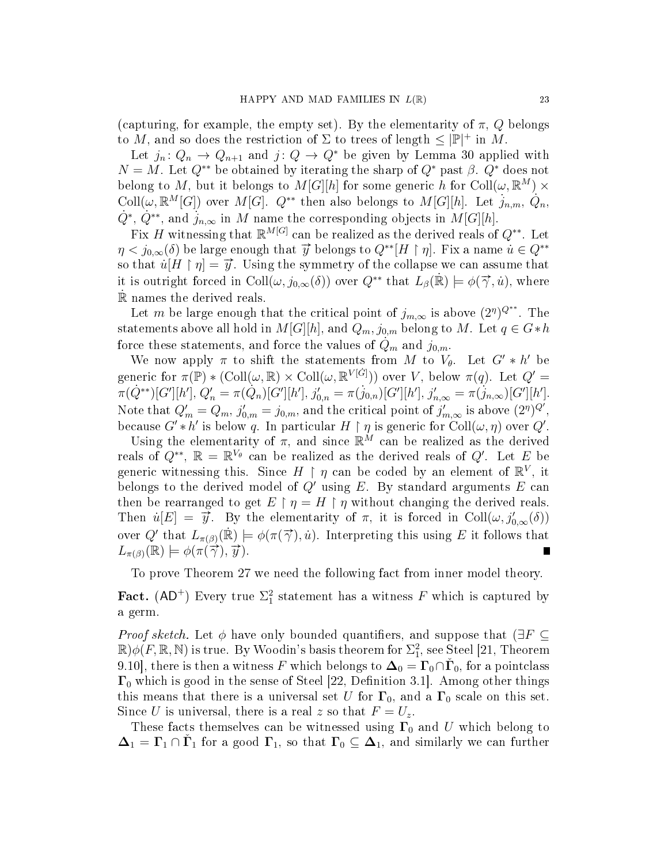(capturing, for example, the empty set). By the elementarity of  $\pi$ , Q belongs to M, and so does the restriction of  $\Sigma$  to trees of length  $\leq |\mathbb{P}|^+$  in M.

Let  $j_n: Q_n \to Q_{n+1}$  and  $j: Q \to Q^*$  be given by Lemma 30 applied with  $N = M$ . Let  $Q^{**}$  be obtained by iterating the sharp of  $Q^*$  past  $\beta$ .  $Q^*$  does not belong to M, but it belongs to  $M[G][h]$  for some generic h for  $\text{Coll}(\omega, \mathbb{R}^M) \times$ Coll $(\omega, \mathbb{R}^M[G])$  over  $M[G]$ .  $Q^{**}$  then also belongs to  $M[G][h]$ . Let  $j_{n,m},\dot{Q}_n$ ,  $\dot{Q}^*, \, \dot{Q}^{**},$  and  $\dot{j}_{n,\infty}$  in M name the corresponding objects in  $M[G][h].$ 

Fix H witnessing that  $\mathbb{R}^{M[G]}$  can be realized as the derived reals of  $Q^{**}$ . Let  $\eta < j_{0,\infty}(\delta)$  be large enough that  $\vec{y}$  belongs to  $Q^{**}[H \restriction \eta]$ . Fix a name  $\vec{u} \in Q^{**}$ so that  $\dot{u}[H \restriction \eta] = \vec{y}$ . Using the symmetry of the collapse we can assume that it is outright forced in Coll $(\omega, j_{0,\infty}(\delta))$  over  $Q^{**}$  that  $L_{\beta}(\mathbb{R}) \models \phi(\vec{\gamma}, \dot{u})$ , where R˙ names the derived reals.

Let m be large enough that the critical point of  $j_{m,\infty}$  is above  $(2^n)^{Q^{**}}$ . The statements above all hold in  $M[G][h]$ , and  $Q_m$ ,  $j_{0,m}$  belong to M. Let  $q \in G*h$ force these statements, and force the values of  $Q_m$  and  $j_{0,m}$ .

We now apply  $\pi$  to shift the statements from M to  $V_{\theta}$ . Let  $G' * h'$  be generic for  $\pi(\mathbb{P}) * (\mathrm{Coll}(\omega, \mathbb{R}) \times \mathrm{Coll}(\omega, \mathbb{R}^{V[\dot{G}]}))$  over V, below  $\pi(q)$ . Let  $Q' =$  $\pi(\dot{Q}^{**})[G'][h'], Q'_n = \pi(\dot{Q}_n)[G'][h'], j'_{0,n} = \pi(j_{0,n})[G'][h'], j'_{n,\infty} = \pi(j_{n,\infty})[G'][h'].$ Note that  $Q'_m = Q_m$ ,  $j'_{0,m} = j_{0,m}$ , and the critical point of  $j'_{m,\infty}$  is above  $(2^n)^{Q'}$ , because  $G'*h'$  is below q. In particular  $H \restriction \eta$  is generic for  $\text{Coll}(\omega, \eta)$  over  $Q'$ .

Using the elementarity of  $\pi$ , and since  $\mathbb{R}^M$  can be realized as the derived reals of  $Q^{**}$ ,  $\mathbb{R} = \mathbb{R}^{V_{\theta}}$  can be realized as the derived reals of  $Q'$ . Let E be generic witnessing this. Since  $H \restriction \eta$  can be coded by an element of  $\mathbb{R}^V$ , it belongs to the derived model of  $Q'$  using E. By standard arguments E can then be rearranged to get  $E \restriction \eta = H \restriction \eta$  without changing the derived reals. Then  $\dot{u}[E] = \vec{y}$ . By the elementarity of  $\pi$ , it is forced in Coll $(\omega, j'_{0,\infty}(\delta))$ over Q' that  $L_{\pi(\beta)}(\mathbb{R}) \models \phi(\pi(\vec{\gamma}), \vec{u})$ . Interpreting this using E it follows that  $L_{\pi(\beta)}(\mathbb{R}) \models \phi(\pi(\overrightarrow{\gamma}), \overrightarrow{y}).$ Г

To prove Theorem 27 we need the following fact from inner model theory.

Fact. (AD<sup>+</sup>) Every true  $\Sigma_1^2$  statement has a witness F which is captured by a germ.

*Proof sketch.* Let  $\phi$  have only bounded quantifiers, and suppose that ( $\exists F \subseteq$  $\mathbb{R})\phi(F,\mathbb{R},\mathbb{N})$  is true. By Woodin's basis theorem for  $\Sigma^2_1$ , see Steel [21, Theorem 9.10], there is then a witness F which belongs to  $\mathbf{\Delta}_0 = \mathbf{\Gamma}_0 \cap \check{\mathbf{\Gamma}}_0$ , for a pointclass  $\Gamma_0$  which is good in the sense of Steel [22, Definition 3.1]. Among other things this means that there is a universal set U for  $\Gamma_0$ , and a  $\Gamma_0$  scale on this set. Since U is universal, there is a real z so that  $F = U_z$ .

These facts themselves can be witnessed using  $\Gamma_0$  and U which belong to  $\Delta_1 = \Gamma_1 \cap \check{\Gamma}_1$  for a good  $\Gamma_1$ , so that  $\Gamma_0 \subseteq \Delta_1$ , and similarly we can further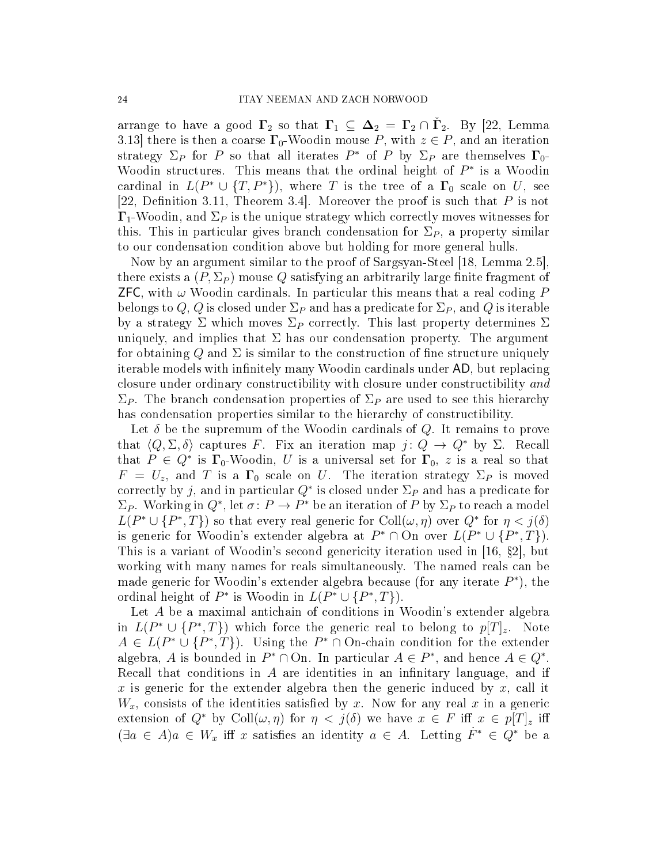arrange to have a good  $\Gamma_2$  so that  $\Gamma_1 \subseteq \Delta_2 = \Gamma_2 \cap \check{\Gamma}_2$ . By [22, Lemma 3.13] there is then a coarse  $\Gamma_0$ -Woodin mouse P, with  $z \in P$ , and an iteration strategy  $\Sigma_P$  for P so that all iterates  $P^*$  of P by  $\Sigma_P$  are themselves  $\Gamma_0$ -Woodin structures. This means that the ordinal height of  $P^*$  is a Woodin cardinal in  $L(P^* \cup \{T, P^*\})$ , where T is the tree of a  $\Gamma_0$  scale on U, see [22, Definition 3.11, Theorem 3.4]. Moreover the proof is such that  $P$  is not  $\Gamma_1$ -Woodin, and  $\Sigma_P$  is the unique strategy which correctly moves witnesses for this. This in particular gives branch condensation for  $\Sigma_P$ , a property similar to our condensation condition above but holding for more general hulls.

Now by an argument similar to the proof of Sargsyan-Steel [18, Lemma 2.5], there exists a  $(P, \Sigma_P)$  mouse Q satisfying an arbitrarily large finite fragment of **ZFC**, with  $\omega$  Woodin cardinals. In particular this means that a real coding P belongs to Q, Q is closed under  $\Sigma_P$  and has a predicate for  $\Sigma_P$ , and Q is iterable by a strategy  $\Sigma$  which moves  $\Sigma_P$  correctly. This last property determines  $\Sigma$ uniquely, and implies that  $\Sigma$  has our condensation property. The argument for obtaining Q and  $\Sigma$  is similar to the construction of fine structure uniquely iterable models with infinitely many Woodin cardinals under AD, but replacing closure under ordinary constructibility with closure under constructibility and  $\Sigma_P$ . The branch condensation properties of  $\Sigma_P$  are used to see this hierarchy has condensation properties similar to the hierarchy of constructibility.

Let  $\delta$  be the supremum of the Woodin cardinals of Q. It remains to prove that  $\langle Q, \Sigma, \delta \rangle$  captures F. Fix an iteration map  $j : Q \to Q^*$  by  $\Sigma$ . Recall that  $P \in Q^*$  is  $\Gamma_0$ -Woodin, U is a universal set for  $\Gamma_0$ , z is a real so that  $F = U_z$ , and T is a  $\Gamma_0$  scale on U. The iteration strategy  $\Sigma_P$  is moved correctly by j, and in particular  $Q^*$  is closed under  $\Sigma_P$  and has a predicate for  $\Sigma_P$ . Working in  $Q^*$ , let  $\sigma: P \to P^*$  be an iteration of P by  $\Sigma_P$  to reach a model  $L(P^* \cup \{P^*, T\})$  so that every real generic for  $Coll(\omega, \eta)$  over  $Q^*$  for  $\eta < j(\delta)$ is generic for Woodin's extender algebra at  $P^* \cap \Omega$  over  $L(P^* \cup \{P^*, T\})$ . This is a variant of Woodin's second genericity iteration used in [16,  $\S 2$ ], but working with many names for reals simultaneously. The named reals can be made generic for Woodin's extender algebra because (for any iterate  $P^*$ ), the ordinal height of  $P^*$  is Woodin in  $L(P^* \cup \{P^*, T\})$ .

Let A be a maximal antichain of conditions in Woodin's extender algebra in  $L(P^* \cup \{P^*, T\})$  which force the generic real to belong to  $p[T]_z$ . Note  $A \in L(P^* \cup \{P^*, T\})$ . Using the  $P^* \cap \text{On-chain condition for the extenter}$ algebra, A is bounded in  $P^* \cap \text{On.}$  In particular  $A \in P^*$ , and hence  $A \in Q^*$ . Recall that conditions in A are identities in an infinitary language, and if x is generic for the extender algebra then the generic induced by  $x$ , call it  $W_x$ , consists of the identities satisfied by x. Now for any real x in a generic extension of  $Q^*$  by Coll $(\omega, \eta)$  for  $\eta < j(\delta)$  we have  $x \in F$  iff  $x \in p[T]_z$  iff  $(\exists a \in A)a \in W_x$  iff x satisfies an identity  $a \in A$ . Letting  $\dot{F}^* \in Q^*$  be a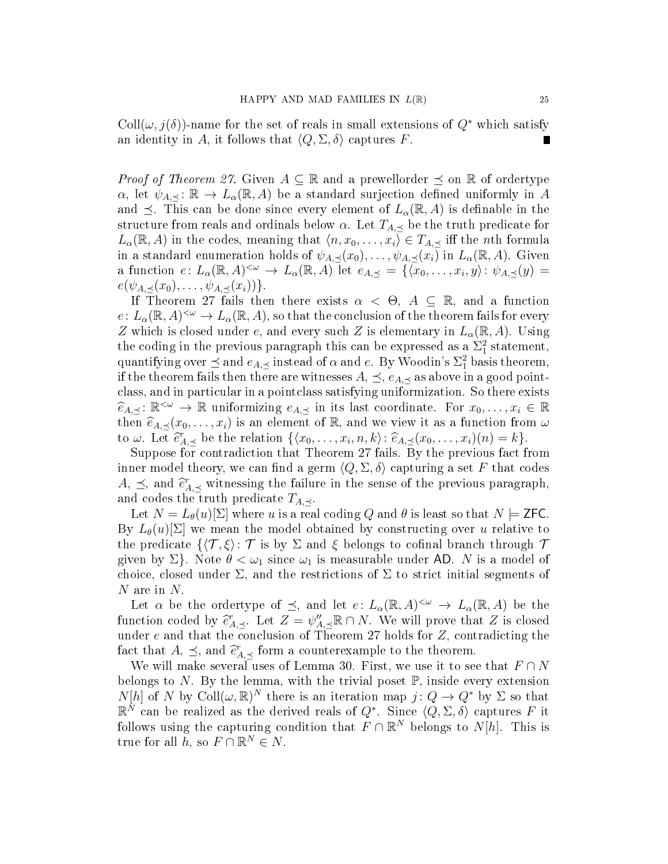$\text{Coll}(\omega, j(\delta))$ -name for the set of reals in small extensions of  $Q^*$  which satisfy an identity in A, it follows that  $\langle Q, \Sigma, \delta \rangle$  captures F. П

*Proof of Theorem 27.* Given  $A \subseteq \mathbb{R}$  and a prewellorder  $\preceq$  on  $\mathbb{R}$  of ordertype  $\alpha$ , let  $\psi_{A, \prec}: \mathbb{R} \to L_{\alpha}(\mathbb{R}, A)$  be a standard surjection defined uniformly in A and  $\preceq$ . This can be done since every element of  $L_{\alpha}(\mathbb{R}, A)$  is definable in the structure from reals and ordinals below  $\alpha$ . Let  $T_{A, \prec}$  be the truth predicate for  $L_{\alpha}(\mathbb{R}, A)$  in the codes, meaning that  $\langle n, x_0, \ldots, x_i \rangle \in T_{A, \preceq}$  iff the *n*th formula in a standard enumeration holds of  $\psi_{A,\preceq}(x_0), \ldots, \psi_{A,\preceq}(x_i)$  in  $L_{\alpha}(\mathbb{R}, A)$ . Given a function  $e: L_{\alpha}(\mathbb{R}, A)^{<\omega} \to L_{\alpha}(\mathbb{R}, A)$  let  $e_{A, \preceq} = \{ \langle x_0, \ldots, x_i, y \rangle : \psi_{A, \preceq}(y) =$  $e(\psi_{A,\prec}(x_0),\ldots,\psi_{A,\prec}(x_i))\}.$ 

If Theorem 27 fails then there exists  $\alpha < \Theta$ ,  $A \subseteq \mathbb{R}$ , and a function  $e\colon L_\alpha(\mathbb{R},A)^{<\omega}\to L_\alpha(\mathbb{R},A),$  so that the conclusion of the theorem fails for every Z which is closed under e, and every such Z is elementary in  $L_{\alpha}(\mathbb{R}, A)$ . Using the coding in the previous paragraph this can be expressed as a  $\Sigma_1^2$  statement, quantifying over  $\preceq$  and  $e_{A,\preceq}$  instead of  $\alpha$  and  $e$ . By Woodin's  $\Sigma^2_1$  basis theorem, if the theorem fails then there are witnesses  $A, \preceq, e_{A, \preceq}$  as above in a good pointclass, and in particular in a pointclass satisfying uniformization. So there exists  $\widehat{e}_{A, \preceq} : \mathbb{R}^{\leq \omega} \to \mathbb{R}$  uniformizing  $e_{A, \preceq}$  in its last coordinate. For  $x_0, \ldots, x_i \in \mathbb{R}$ <br>then  $\widehat{e}_{A, \omega}(x_1, \ldots, x_i)$  is an element of  $\mathbb{R}$  and we view it as a function from  $\omega$ then  $\widehat{e}_{A,\preceq}(x_0,\ldots,x_i)$  is an element of R, and we view it as a function from  $\omega$ to  $\omega$ . Let  $\hat{e}_{A, \preceq}^r$  be the relation  $\{\langle x_0, \ldots, x_i, n, k \rangle : \hat{e}_{A, \preceq}(x_0, \ldots, x_i)(n) = k\}.$ <br>Suppose for contradiction that Theorem 27 fails. By the previous fact f

Suppose for contradiction that Theorem 27 fails. By the previous fact from inner model theory, we can find a germ  $\langle Q, \Sigma, \delta \rangle$  capturing a set F that codes  $A, \preceq$ , and  $\widehat{e}_{A, \preceq}^r$  witnessing the failure in the sense of the previous paragraph, and codes the truth predicate  $T_{A,\prec}$ .

Let  $N = L_{\theta}(u)[\Sigma]$  where u is a real coding Q and  $\theta$  is least so that  $N \models$  **ZFC**. By  $L_{\theta}(u)[\Sigma]$  we mean the model obtained by constructing over u relative to the predicate  $\{\langle \mathcal{T}, \xi \rangle : \mathcal{T}$  is by  $\Sigma$  and  $\xi$  belongs to cofinal branch through  $\mathcal{T}$ given by  $\Sigma$ . Note  $\theta < \omega_1$  since  $\omega_1$  is measurable under AD. N is a model of choice, closed under  $\Sigma$ , and the restrictions of  $\Sigma$  to strict initial segments of N are in N.

Let  $\alpha$  be the ordertype of  $\preceq$ , and let  $e: L_{\alpha}(\mathbb{R}, A)^{<\omega} \to L_{\alpha}(\mathbb{R}, A)$  be the function coded by  $\hat{e}_{A, \preceq}^r$ . Let  $Z = \psi_{A, \preceq}'' \mathbb{R} \cap N$ . We will prove that Z is closed under e and that the conclusion of Theorem 27 holds for  $Z$ , contradicting the fact that  $A, \preceq$ , and  $\hat{e}_{A, \preceq}^r$  form a counterexample to the theorem.<br>We will make several uses of Lemma 30. First, we use it to see

We will make several uses of Lemma 30. First, we use it to see that  $F \cap N$ belongs to N. By the lemma, with the trivial poset  $\mathbb{P}$ , inside every extension  $N[h]$  of N by Coll $(\omega, \mathbb{R})^N$  there is an iteration map  $j: Q \to Q^*$  by  $\Sigma$  so that  $\mathbb{R}^N$  can be realized as the derived reals of  $Q^*$ . Since  $\langle Q, \Sigma, \delta \rangle$  captures F it follows using the capturing condition that  $F \cap \mathbb{R}^N$  belongs to  $N[h]$ . This is true for all  $\tilde{h}$ , so  $F \cap \mathbb{R}^N \in N$ .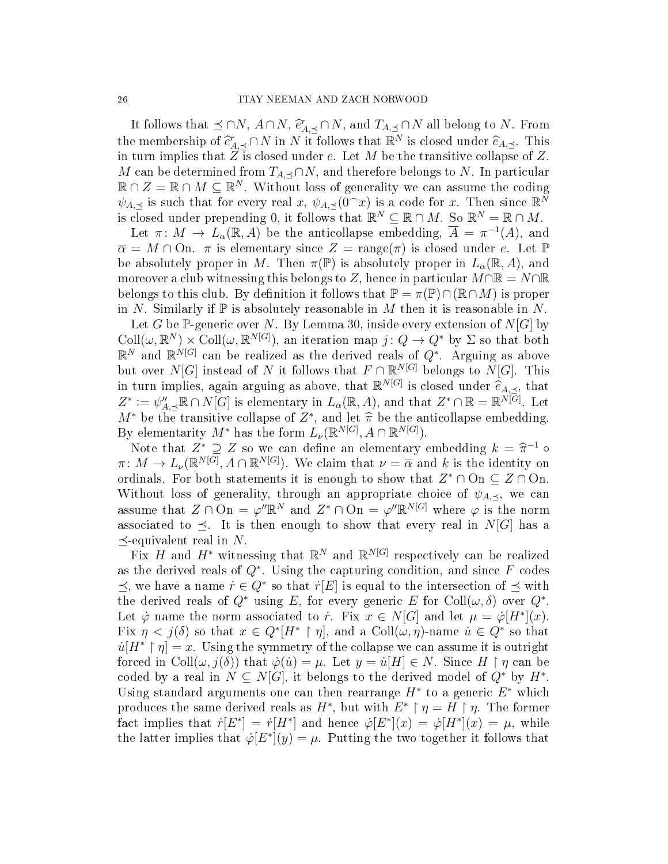It follows that  $\preceq \cap N$ ,  $A \cap N$ ,  $\hat{e}_{A,\preceq}^r \cap N$ , and  $T_{A,\preceq} \cap N$  all belong to N. From the membership of  $\widehat{e}_{A, \preceq}^r \cap N$  in N it follows that  $\mathbb{R}^N$  is closed under  $\widehat{e}_{A, \preceq}$ . This in turn implies that Z is closed under  $e$ . Let M be the transitive collapse of Z in turn implies that  $Z$  is closed under e. Let M be the transitive collapse of Z. M can be determined from  $T_{A,\prec} \cap N$ , and therefore belongs to N. In particular  $\mathbb{R} \cap Z = \mathbb{R} \cap M \subseteq \mathbb{R}^N$ . Without loss of generality we can assume the coding  $\psi_{A,\preceq}$  is such that for every real x,  $\psi_{A,\preceq}(\vec{0}^\frown x)$  is a code for x. Then since  $\mathbb{R}^{\vec{N}}$ is closed under prepending 0, it follows that  $\mathbb{R}^N \subseteq \mathbb{R} \cap M$ . So  $\mathbb{R}^N = \mathbb{R} \cap M$ .

Let  $\pi \colon M \to L_{\alpha}(\mathbb{R}, A)$  be the anticollapse embedding,  $\overline{A} = \pi^{-1}(A)$ , and  $\overline{\alpha} = M \cap \overline{\mathrm{On}}$ .  $\pi$  is elementary since  $Z = \text{range}(\pi)$  is closed under e. Let  $\mathbb{P}$ be absolutely proper in M. Then  $\pi(\mathbb{P})$  is absolutely proper in  $L_{\alpha}(\mathbb{R}, A)$ , and moreover a club witnessing this belongs to Z, hence in particular  $M\cap\mathbb{R}=N\cap\mathbb{R}$ belongs to this club. By definition it follows that  $\mathbb{P} = \pi(\mathbb{P}) \cap (\mathbb{R} \cap M)$  is proper in N. Similarly if  $\mathbb P$  is absolutely reasonable in M then it is reasonable in N.

Let G be P-generic over N. By Lemma 30, inside every extension of  $N[G]$  by  $\text{Coll}(\omega,\mathbb{R}^N)\times\text{Coll}(\omega,\mathbb{R}^{N[G]}),$  an iteration map  $j:Q\to Q^*$  by  $\Sigma$  so that both  $\mathbb{R}^N$  and  $\mathbb{R}^{N[G]}$  can be realized as the derived reals of  $Q^*$ . Arguing as above but over  $N[G]$  instead of N it follows that  $F \cap \mathbb{R}^{N[G]}$  belongs to  $N[G]$ . This in turn implies, again arguing as above, that  $\mathbb{R}^{N[G]}$  is closed under  $\hat{e}_{A,\preceq}$ , that  $Z^* := e^{\mathcal{N}'} \mathbb{R} \cap N[G]$  is elementary in  $L(\mathbb{R}^d)$  and that  $Z^* \cap \mathbb{R} = \mathbb{R}^{N[G]}$  Let  $Z^* := \psi''_{A, \preceq} \mathbb{R} \cap N[G]$  is elementary in  $L_\alpha(\mathbb{R}, A)$ , and that  $Z^* \cap \mathbb{R} = \mathbb{R}^{N[G]}$ . Let  $M^*$  be the transitive collapse of  $Z^*$ , and let  $\hat{\pi}$  be the anticollapse embedding.<br>By elementarity  $M^*$  has the form  $I$  ( $\mathbb{R}^{N[G]}$  4  $\cap \mathbb{R}^{N[G]}$ ) By elementarity  $M^*$  has the form  $L_{\nu}(\mathbb{R}^{N[G]}, A \cap \mathbb{R}^{N[G]})$ .

Note that  $Z^* \supseteq Z$  so we can define an elementary embedding  $k = \hat{\pi}^{-1} \circ M \to I$  ( $\mathbb{R}^{N[G]}$  4  $\cap \mathbb{R}^{N[G]}$ ) We claim that  $u = \overline{\alpha}$  and k is the identity on  $\pi \colon M \to L_{\nu}(\mathbb{R}^{N[G]}, A \cap \mathbb{R}^{N[G]})$ . We claim that  $\nu = \overline{\alpha}$  and k is the identity on ordinals. For both statements it is enough to show that  $Z^* \cap \text{On} \subseteq Z \cap \text{On}$ . Without loss of generality, through an appropriate choice of  $\psi_{A,\prec}$ , we can assume that  $Z \cap \Omega$  =  $\varphi'' \mathbb{R}^N$  and  $Z^* \cap \Omega$  =  $\varphi'' \mathbb{R}^{N[G]}$  where  $\varphi$  is the norm associated to  $\preceq$ . It is then enough to show that every real in N[G] has a  $\prec$ -equivalent real in N.

Fix H and  $H^*$  witnessing that  $\mathbb{R}^N$  and  $\mathbb{R}^N$  respectively can be realized as the derived reals of  $Q^*$ . Using the capturing condition, and since  $F$  codes  $\preceq$ , we have a name  $\dot{r} \in Q^*$  so that  $\dot{r}[E]$  is equal to the intersection of  $\preceq$  with the derived reals of  $Q^*$  using E, for every generic E for Coll $(\omega, \delta)$  over  $Q^*$ . Let  $\dot{\varphi}$  name the norm associated to  $\dot{r}$ . Fix  $x \in N[G]$  and let  $\mu = \dot{\varphi}[H^*](x)$ . Fix  $\eta < j(\delta)$  so that  $x \in Q^*[H^* \restriction \eta]$ , and a  $\text{Coll}(\omega, \eta)$ -name  $u \in Q^*$  so that  $u[H^* \restriction \eta] = x$ . Using the symmetry of the collapse we can assume it is outright forced in Coll $(\omega, j(\delta))$  that  $\dot{\varphi}(u) = \mu$ . Let  $y = \dot{u}[H] \in N$ . Since  $H \restriction \eta$  can be coded by a real in  $N \subseteq N[G]$ , it belongs to the derived model of  $Q^*$  by  $H^*$ . Using standard arguments one can then rearrange  $H^*$  to a generic  $E^*$  which produces the same derived reals as  $H^*$ , but with  $E^* \restriction \eta = H \restriction \eta$ . The former fact implies that  $\dot{r}[E^*] = \dot{r}[H^*]$  and hence  $\dot{\varphi}[E^*](x) = \dot{\varphi}[H^*](x) = \mu$ , while the latter implies that  $\dot{\varphi}[E^*](y) = \mu$ . Putting the two together it follows that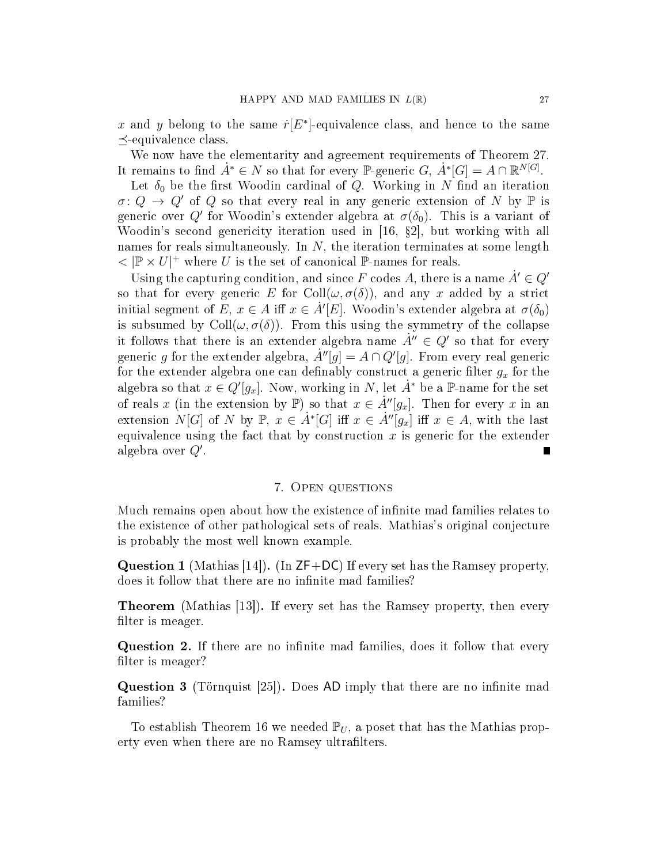x and y belong to the same  $\dot{r}[E^*]$ -equivalence class, and hence to the same  $\prec$ -equivalence class.

We now have the elementarity and agreement requirements of Theorem 27. It remains to find  $\dot{A}^* \in N$  so that for every P-generic  $G, \, \dot{A}^*[G] = A \cap \mathbb{R}^{N[G]}$ .

Let  $\delta_0$  be the first Woodin cardinal of Q. Working in N find an iteration  $\sigma: Q \to Q'$  of Q so that every real in any generic extension of N by P is generic over  $Q'$  for Woodin's extender algebra at  $\sigma(\delta_0)$ . This is a variant of Woodin's second genericity iteration used in  $[16, §2]$ , but working with all names for reals simultaneously. In  $N$ , the iteration terminates at some length  $<|\mathbb{P}\times U|^+$  where U is the set of canonical P-names for reals.

Using the capturing condition, and since F codes A, there is a name  $A' \in Q'$ so that for every generic E for Coll $(\omega, \sigma(\delta))$ , and any x added by a strict initial segment of E,  $x \in A$  iff  $x \in \dot{A}'[E]$ . Woodin's extender algebra at  $\sigma(\delta_0)$ is subsumed by Coll $(\omega, \sigma(\delta))$ . From this using the symmetry of the collapse it follows that there is an extender algebra name  $\dot{A}'' \in Q'$  so that for every generic g for the extender algebra,  $\dot{A}''[\tilde{g}] = A \cap Q'[\tilde{g}]$ . From every real generic for the extender algebra one can definably construct a generic filter  $g_x$  for the algebra so that  $x \in Q'[g_x]$ . Now, working in N, let  $A^*$  be a P-name for the set of reals x (in the extension by P) so that  $x \in \dot{A}''[g_x]$ . Then for every x in an extension  $N[G]$  of N by  $\mathbb{P}, x \in \dot{A}^*[G]$  iff  $x \in \dot{A}''[g_x]$  iff  $x \in A$ , with the last equivalence using the fact that by construction  $x$  is generic for the extender algebra over  $Q'$ .

#### 7. Open questions

Much remains open about how the existence of infinite mad families relates to the existence of other pathological sets of reals. Mathias's original conjecture is probably the most well known example.

**Question 1** (Mathias [14]). (In  $ZF+DC$ ) If every set has the Ramsey property, does it follow that there are no infinite mad families?

Theorem (Mathias [13]). If every set has the Ramsey property, then every filter is meager.

Question 2. If there are no infinite mad families, does it follow that every filter is meager?

**Question 3** (Törnquist  $[25]$ ). Does AD imply that there are no infinite mad families?

To establish Theorem 16 we needed  $\mathbb{P}_U$ , a poset that has the Mathias property even when there are no Ramsey ultrafilters.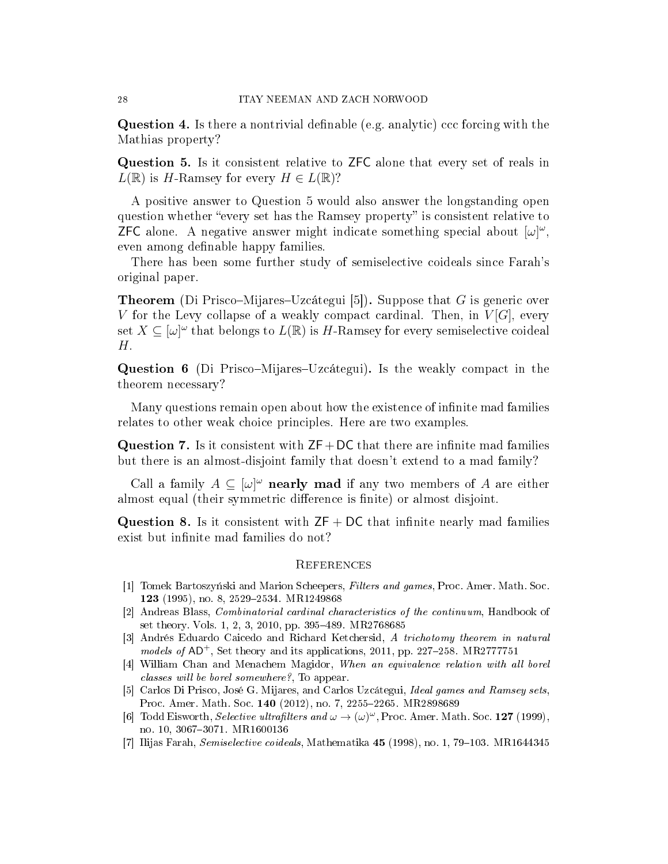**Question 4.** Is there a nontrivial definable (e.g. analytic) ccc forcing with the Mathias property?

Question 5. Is it consistent relative to ZFC alone that every set of reals in  $L(\mathbb{R})$  is H-Ramsey for every  $H \in L(\mathbb{R})$ ?

A positive answer to Question 5 would also answer the longstanding open question whether "every set has the Ramsey property" is consistent relative to **ZFC** alone. A negative answer might indicate something special about  $[\omega]^\omega$ , even among definable happy families.

There has been some further study of semiselective coideals since Farah's original paper.

**Theorem** (Di Prisco–Mijares–Uzcátegui [5]). Suppose that G is generic over V for the Levy collapse of a weakly compact cardinal. Then, in  $V[G]$ , every set  $X \subseteq [\omega]^\omega$  that belongs to  $L(\mathbb{R})$  is H-Ramsey for every semiselective coideal H.

**Question 6** (Di Prisco–Mijares–Uzcátegui). Is the weakly compact in the theorem necessary?

Many questions remain open about how the existence of infinite mad families relates to other weak choice principles. Here are two examples.

**Question 7.** Is it consistent with  $ZF+DC$  that there are infinite mad families but there is an almost-disjoint family that doesn't extend to a mad family?

Call a family  $A \subseteq [\omega]^\omega$  nearly mad if any two members of A are either almost equal (their symmetric difference is finite) or almost disjoint.

**Question 8.** Is it consistent with  $ZF + DC$  that infinite nearly mad families exist but infinite mad families do not?

## **REFERENCES**

- [1] Tomek Bartoszyński and Marion Scheepers, Filters and games, Proc. Amer. Math. Soc. 123 (1995), no. 8, 2529-2534. MR1249868
- [2] Andreas Blass, Combinatorial cardinal characteristics of the continuum, Handbook of set theory. Vols. 1, 2, 3, 2010, pp. 395-489. MR2768685
- [3] Andrés Eduardo Caicedo and Richard Ketchersid, A trichotomy theorem in natural models of  $AD^+$ , Set theory and its applications, 2011, pp. 227–258. MR2777751
- [4] William Chan and Menachem Magidor, When an equivalence relation with all borel classes will be borel somewhere?, To appear.
- [5] Carlos Di Prisco, José G. Mijares, and Carlos Uzcátegui, Ideal games and Ramsey sets, Proc. Amer. Math. Soc. 140 (2012), no. 7, 2255-2265. MR2898689
- [6] Todd Eisworth, *Selective ultrafilters and*  $\omega \to (\omega)^\omega$ , Proc. Amer. Math. Soc. 127 (1999), no. 10, 3067-3071. MR1600136
- [7] Ilijas Farah, Semiselective coideals, Mathematika  $45$  (1998), no. 1, 79–103. MR1644345